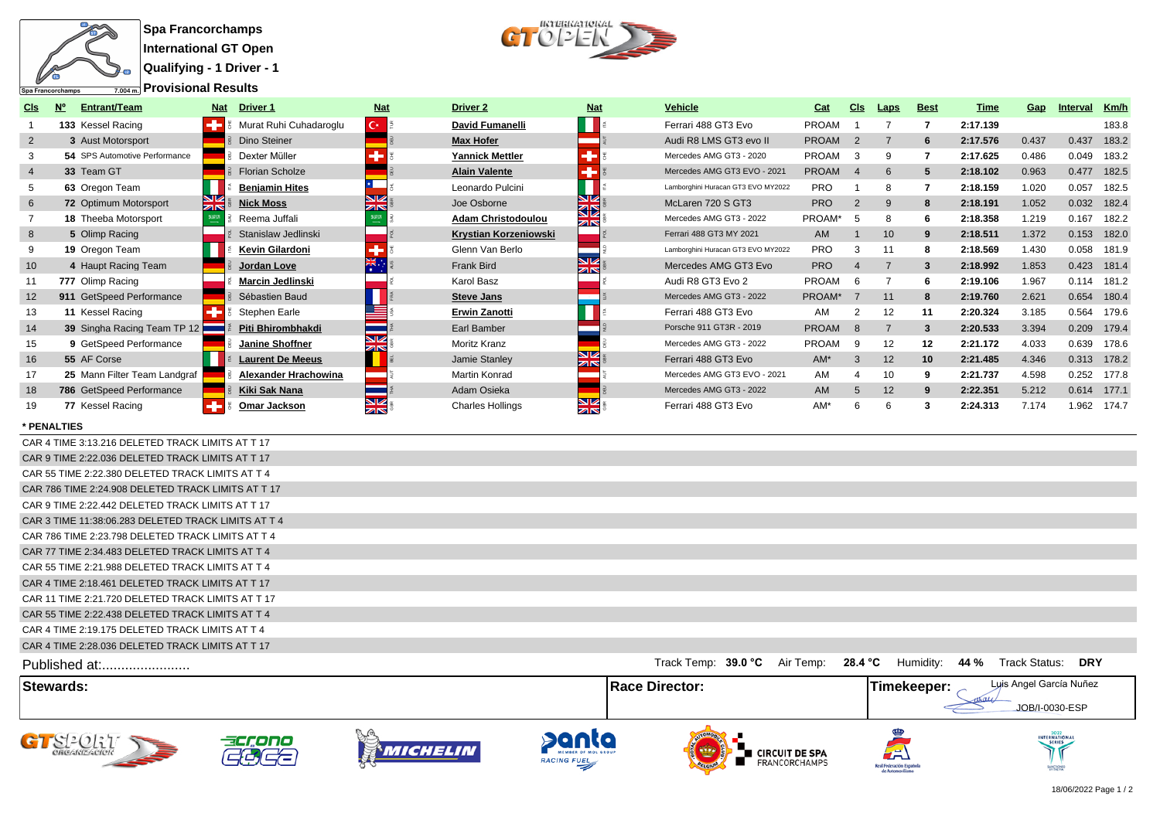

**Qualifying - 1 Driver - 1**



| CIs             | <b>Entrant/Team</b>           |               | Driver <sub>1</sub><br>Nat  | <b>Nat</b>       | <b>Driver 2</b>              | <b>Nat</b>                      | <b>Vehicle</b>                     | Cat          | CI <sub>s</sub> | Laps              | <b>Best</b>     | Time     | Gap   | Interval    | Km/h  |
|-----------------|-------------------------------|---------------|-----------------------------|------------------|------------------------------|---------------------------------|------------------------------------|--------------|-----------------|-------------------|-----------------|----------|-------|-------------|-------|
|                 | 133 Kessel Racing             |               | Murat Ruhi Cuhadaroqlu      | $C^*$            | David Fumanelli              |                                 | Ferrari 488 GT3 Evo                | <b>PROAM</b> |                 |                   |                 | 2:17.139 |       |             | 183.8 |
| $\overline{2}$  | 3 Aust Motorsport             |               | Dino Steiner                |                  | <b>Max Hofer</b>             |                                 | Audi R8 LMS GT3 evo II             | <b>PROAM</b> | $\overline{2}$  |                   | 6               | 2:17.576 | 0.437 | 0.437       | 183.2 |
|                 | 54 SPS Automotive Performance |               | Dexter Müller               |                  | <b>Yannick Mettler</b>       |                                 | Mercedes AMG GT3 - 2020            | <b>PROAM</b> |                 |                   |                 | 2:17.625 | 0.486 | 0.049       | 183.2 |
| $\overline{4}$  | 33 Team GT                    |               | <b>Florian Scholze</b>      |                  | <b>Alain Valente</b>         |                                 | Mercedes AMG GT3 EVO - 2021        | <b>PROAM</b> |                 |                   |                 | 2:18.102 | 0.963 | 0.477       | 182.5 |
| 5               | 63 Oregon Team                |               | <b>Benjamin Hites</b>       |                  | Leonardo Pulcini             |                                 | Lamborghini Huracan GT3 EVO MY2022 | <b>PRO</b>   |                 |                   |                 | 2:18.159 | 1.020 | 0.057       | 182.5 |
| 6               | 72 Optimum Motorsport         | $\frac{N}{2}$ | <b>Nick Moss</b>            | V<br>zir         | Joe Osborne                  | NZ<br>32                        | McLaren 720 S GT3                  | <b>PRO</b>   |                 | $\mathbf{Q}$      |                 | 2:18.191 | 1.052 | 0.032       | 182.4 |
|                 | <b>18 Theeba Motorsport</b>   |               | Reema Juffali               |                  | <b>Adam Christodoulou</b>    | ZK                              | Mercedes AMG GT3 - 2022            | PROAM*       |                 |                   |                 | 2:18.358 | 1.219 | 0.167       | 182.2 |
| 8               | 5 Olimp Racing                |               | Stanislaw Jedlinski         |                  | <b>Krystian Korzeniowski</b> |                                 | Ferrari 488 GT3 MY 2021            | <b>AM</b>    |                 | 10 <sup>°</sup>   |                 | 2:18.511 | 1.372 | 0.153       | 182.0 |
|                 | 19 Oregon Team                |               | Kevin Gilardoni             |                  | Glenn Van Berlo              |                                 | Lamborghini Huracan GT3 EVO MY2022 | <b>PRO</b>   |                 | 11                |                 | 2:18.569 | 1.430 | 0.058       | 181.9 |
| 10 <sup>°</sup> | 4 Haupt Racing Team           |               | Jordan Love                 | XK.              | Frank Bird                   | NZ<br>zis                       | Mercedes AMG GT3 Evo               | <b>PRO</b>   |                 |                   |                 | 2:18.992 | 1.853 | 0.423       | 181.4 |
| 11              | 777 Olimp Racing              |               | Marcin Jedlinski            |                  | Karol Basz                   |                                 | Audi R8 GT3 Evo 2                  | <b>PROAM</b> |                 |                   |                 | 2:19.106 | 1.967 | 0.114       | 181.2 |
| 12              | 911 GetSpeed Performance      |               | Sébastien Baud              |                  | <b>Steve Jans</b>            |                                 | Mercedes AMG GT3 - 2022            | PROAM*       |                 | 11                |                 | 2:19.760 | 2.621 | 0.654       | 180.4 |
| 13              | 11 Kessel Racing              |               | Stephen Earle               |                  | Erwin Zanotti                |                                 | Ferrari 488 GT3 Evo                | AM           |                 | $12 \overline{ }$ | 11              | 2:20.324 | 3.185 | 0.564       | 179.6 |
| 14              | 39 Singha Racing Team TP 12   |               | Piti Bhirombhakdi           |                  | Earl Bamber                  |                                 | Porsche 911 GT3R - 2019            | <b>PROAM</b> | -8              |                   | 3               | 2:20.533 | 3.394 | 0.209       | 179.4 |
| 15              | 9 GetSpeed Performance        |               | Janine Shoffner             |                  | Moritz Kranz                 |                                 | Mercedes AMG GT3 - 2022            | <b>PROAM</b> | 9               | $12 \overline{ }$ | 12              | 2:21.172 | 4.033 | 0.639       | 178.6 |
| 16              | 55 AF Corse                   |               | <b>Laurent De Meeus</b>     |                  | Jamie Stanley                | NZ<br>ZIN                       | Ferrari 488 GT3 Evo                | $AM*$        |                 | 12                | 10 <sup>1</sup> | 2:21.485 | 4.346 | 0.313       | 178.2 |
| 17              | 25 Mann Filter Team Landgraf  |               | <b>Alexander Hrachowina</b> |                  | Martin Konrad                |                                 | Mercedes AMG GT3 EVO - 2021        | AM           |                 | 10                |                 | 2:21.737 | 4.598 | 0.252       | 177.8 |
| 18              | 786 GetSpeed Performance      |               | Kiki Sak Nana               |                  | Adam Osieka                  |                                 | Mercedes AMG GT3 - 2022            | <b>AM</b>    |                 | 12                |                 | 2:22.351 | 5.212 | 0.614 177.1 |       |
| 19              | 77 Kessel Racing              |               | Omar Jackson                | NZ<br><b>ZIN</b> | <b>Charles Hollings</b>      | $\frac{\mathbf{N}}{\mathbf{N}}$ | Ferrari 488 GT3 Evo                | AM*          |                 |                   |                 | 2:24.313 | 7.174 | 1.962       | 174.7 |

## **\* PENALTIES**

|                                                     |                       |                      |             | JOB/I-0030-ESP            |  |
|-----------------------------------------------------|-----------------------|----------------------|-------------|---------------------------|--|
| <b>Stewards:</b>                                    | <b>Race Director:</b> |                      | Timekeeper: | Luis Angel García Nuñez   |  |
| Published at:                                       | Track Temp: 39.0 °C   | Air Temp:<br>28.4 °C | Humidity:   | 44 %<br>Track Status: DRY |  |
| CAR 4 TIME 2:28.036 DELETED TRACK LIMITS AT T 17    |                       |                      |             |                           |  |
| CAR 4 TIME 2:19.175 DELETED TRACK LIMITS AT T 4     |                       |                      |             |                           |  |
| CAR 55 TIME 2:22.438 DELETED TRACK LIMITS AT T 4    |                       |                      |             |                           |  |
| CAR 11 TIME 2:21.720 DELETED TRACK LIMITS AT T 17   |                       |                      |             |                           |  |
| CAR 4 TIME 2:18.461 DELETED TRACK LIMITS AT T 17    |                       |                      |             |                           |  |
| CAR 55 TIME 2:21.988 DELETED TRACK LIMITS AT T 4    |                       |                      |             |                           |  |
| CAR 77 TIME 2:34.483 DELETED TRACK LIMITS AT T 4    |                       |                      |             |                           |  |
| CAR 786 TIME 2:23.798 DELETED TRACK LIMITS AT T 4   |                       |                      |             |                           |  |
| CAR 3 TIME 11:38:06.283 DELETED TRACK LIMITS AT T 4 |                       |                      |             |                           |  |
| CAR 9 TIME 2:22.442 DELETED TRACK LIMITS AT T 17    |                       |                      |             |                           |  |
| CAR 786 TIME 2:24.908 DELETED TRACK LIMITS AT T 17  |                       |                      |             |                           |  |
| CAR 55 TIME 2:22.380 DELETED TRACK LIMITS AT T 4    |                       |                      |             |                           |  |
| CAR 9 TIME 2:22.036 DELETED TRACK LIMITS AT T 17    |                       |                      |             |                           |  |
| CAR 4 TIME 3:13.216 DELETED TRACK LIMITS AT T 17    |                       |                      |             |                           |  |











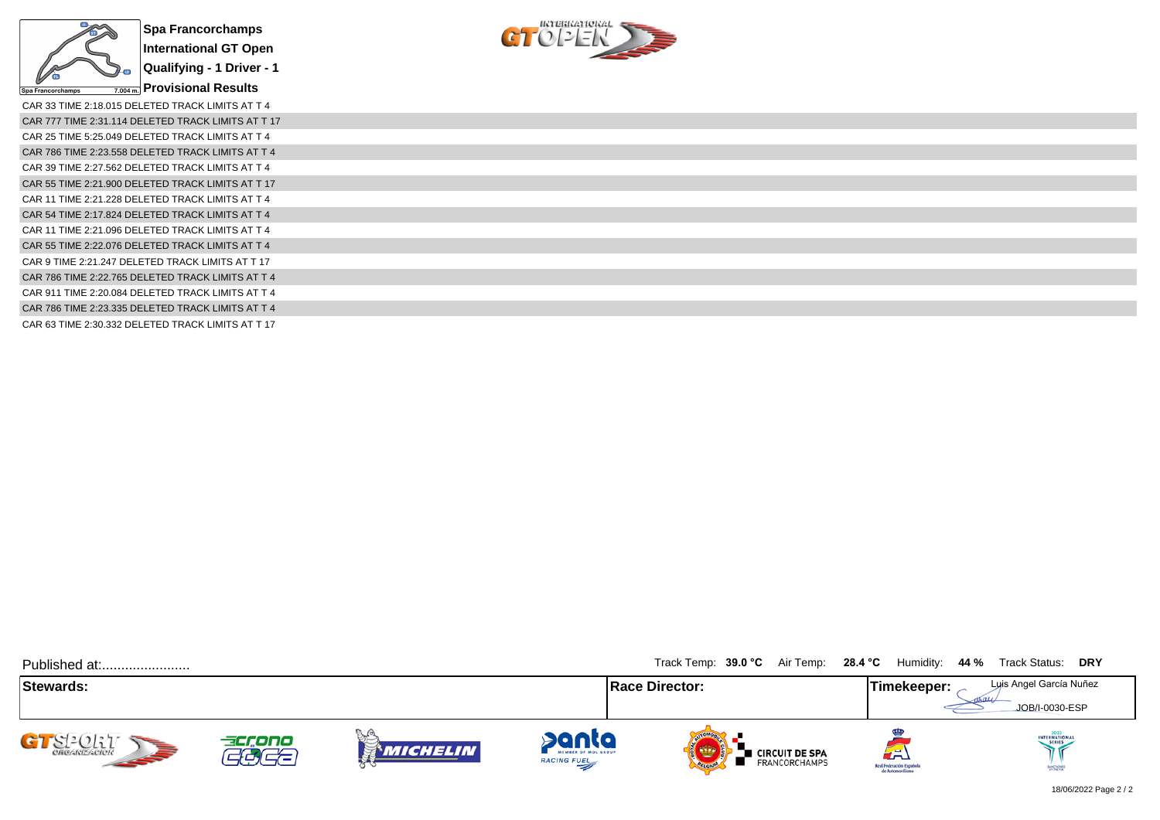



| CAR 33 TIME 2:18.015 DELETED TRACK LIMITS AT T 4   |
|----------------------------------------------------|
| CAR 777 TIME 2:31.114 DELETED TRACK LIMITS AT T 17 |
| CAR 25 TIME 5:25.049 DELETED TRACK LIMITS AT T 4   |
| CAR 786 TIME 2:23.558 DELETED TRACK LIMITS AT T 4  |
| CAR 39 TIME 2:27.562 DELETED TRACK LIMITS AT T 4   |
| CAR 55 TIME 2:21.900 DELETED TRACK LIMITS AT T 17  |
| CAR 11 TIME 2:21.228 DELETED TRACK LIMITS AT T 4   |
| CAR 54 TIME 2:17.824 DELETED TRACK LIMITS AT T 4   |
| CAR 11 TIME 2:21.096 DELETED TRACK LIMITS AT T 4   |
| CAR 55 TIME 2:22.076 DELETED TRACK LIMITS AT T 4   |
| CAR 9 TIME 2:21.247 DELETED TRACK LIMITS AT T 17   |
| CAR 786 TIME 2:22.765 DELETED TRACK LIMITS AT T 4  |
| CAR 911 TIME 2:20.084 DELETED TRACK LIMITS AT T 4  |
| CAR 786 TIME 2:23.335 DELETED TRACK LIMITS AT T 4  |
| CAR 63 TIME 2:30.332 DELETED TRACK LIMITS AT T 17  |

| Published at:         |                   |                  |                                                    | Track Temp: 39.0 °C Air Temp: 28.4 °C Humidity: 44 % Track Status: DRY |                                                     |                                           |
|-----------------------|-------------------|------------------|----------------------------------------------------|------------------------------------------------------------------------|-----------------------------------------------------|-------------------------------------------|
| Stewards:             |                   |                  |                                                    | <b>Race Director:</b>                                                  | Timekeeper:                                         | Luis Angel García Nuñez<br>JOB/I-0030-ESP |
| CI-CLLL<br><b>SEP</b> | accono<br>$T = T$ | ¦} G<br>MICHELIN | panta<br>MEMBER OF MOL GROUP<br><b>RACING FUEL</b> | <b>Exercuit DE SPA</b><br>Exancorchamps<br><b>OFLORID</b>              | 23)<br>Real Federación Española<br>de Automovilismo | INTERNATIONAL<br>SANCRONED                |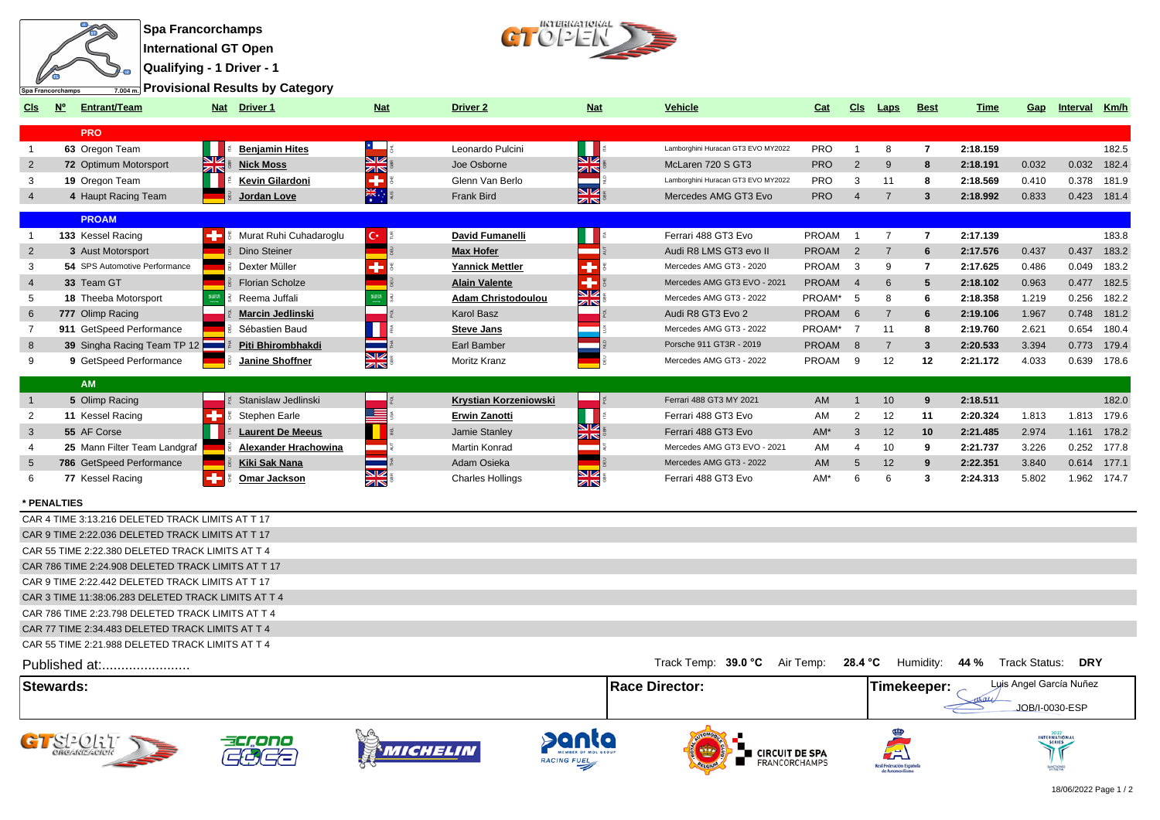

**Qualifying - 1 Driver - 1**

**Provisional Results by Category**



| Cls              | N <sub>o</sub> | <b>Entrant/Team</b>                                 |    | Nat Driver 1                | <b>Nat</b>     | Driver 2                  | <b>Nat</b>       | <b>Vehicle</b>                        | Cat             | Cls            | <b>Laps</b>          | <b>Best</b>    | Time     | Gap            | Interval                | Km/h        |
|------------------|----------------|-----------------------------------------------------|----|-----------------------------|----------------|---------------------------|------------------|---------------------------------------|-----------------|----------------|----------------------|----------------|----------|----------------|-------------------------|-------------|
|                  |                | <b>PRO</b>                                          |    |                             |                |                           |                  |                                       |                 |                |                      |                |          |                |                         |             |
| $\overline{1}$   |                | 63 Oregon Team                                      |    | <b>Benjamin Hites</b>       |                | Leonardo Pulcini          |                  | Lamborghini Huracan GT3 EVO MY2022    | <b>PRO</b>      | $\overline{1}$ | 8                    | $\overline{7}$ | 2:18.159 |                |                         | 182.5       |
| $\overline{2}$   |                | 72 Optimum Motorsport                               | ZK | <b>Nick Moss</b>            | <b>SIZ</b>     | Joe Osborne               | NZ<br>ZIN        | McLaren 720 S GT3                     | <b>PRO</b>      | 2              | 9                    | 8              | 2:18.191 | 0.032          |                         | 0.032 182.4 |
| 3                |                | 19 Oregon Team                                      |    | Kevin Gilardoni             | $\overline{4}$ | Glenn Van Berlo           |                  | Lamborghini Huracan GT3 EVO MY2022    | <b>PRO</b>      | 3              | 11                   | 8              | 2:18.569 | 0.410          | 0.378                   | 181.9       |
| $\overline{4}$   |                | 4 Haupt Racing Team                                 |    | <b>Jordan Love</b>          | $\frac{1}{2k}$ | <b>Frank Bird</b>         | طلح<br>ZIN       | Mercedes AMG GT3 Evo                  | <b>PRO</b>      | $\overline{4}$ | $\overline{7}$       | $3^{\circ}$    | 2:18.992 | 0.833          |                         | 0.423 181.4 |
|                  |                | <b>PROAM</b>                                        |    |                             |                |                           |                  |                                       |                 |                |                      |                |          |                |                         |             |
| $\overline{1}$   |                | 133 Kessel Racing                                   |    | Murat Ruhi Cuhadaroglu      | $\mathbf{C}^*$ | David Fumanelli           |                  | Ferrari 488 GT3 Evo                   | <b>PROAM</b>    | $\overline{1}$ | $\overline{7}$       | $\overline{7}$ | 2:17.139 |                |                         | 183.8       |
| 2                |                | 3 Aust Motorsport                                   |    | Dino Steiner                |                | <b>Max Hofer</b>          |                  | Audi R8 LMS GT3 evo II                | <b>PROAM</b>    | 2              | $\overline{7}$       | 6              | 2:17.576 | 0.437          | 0.437                   | 183.2       |
| 3                |                | 54 SPS Automotive Performance                       |    | Dexter Müller               | ÷              | <b>Yannick Mettler</b>    | ÷                | Mercedes AMG GT3 - 2020               | PROAM           | 3              | 9                    | 7              | 2:17.625 | 0.486          | 0.049                   | 183.2       |
| $\overline{4}$   |                | 33 Team GT                                          |    | <b>Florian Scholze</b>      |                | <b>Alain Valente</b>      | ٠                | Mercedes AMG GT3 EVO - 2021           | <b>PROAM</b>    | $\overline{4}$ | 6                    | 5              | 2:18.102 | 0.963          | 0.477                   | 182.5       |
| 5                |                | 18 Theeba Motorsport                                |    | Reema Juffali               | 53735          | <b>Adam Christodoulou</b> | <b>N</b>         | Mercedes AMG GT3 - 2022               | PROAM*          | 5              | 8                    | 6              | 2:18.358 | 1.219          | 0.256                   | 182.2       |
| 6                |                | 777 Olimp Racing                                    |    | <b>Marcin Jedlinski</b>     |                | Karol Basz                | K                | Audi R8 GT3 Evo 2                     | <b>PROAM</b>    | 6              | $\overline{7}$       | 6              | 2:19.106 | 1.967          | 0.748                   | 181.2       |
| $\overline{7}$   |                | 911 GetSpeed Performance                            |    | Sébastien Baud              |                | <b>Steve Jans</b>         |                  | Mercedes AMG GT3 - 2022               | PROAM*          | $\overline{7}$ | 11                   | 8              | 2:19.760 | 2.621          | 0.654                   | 180.4       |
| 8                |                | 39 Singha Racing Team TP 12                         |    | Piti Bhirombhakdi           |                | Earl Bamber               |                  | Porsche 911 GT3R - 2019               | <b>PROAM</b>    | 8              | $\overline{7}$       | 3              | 2:20.533 | 3.394          | 0.773                   | 179.4       |
| 9                |                | 9 GetSpeed Performance                              |    | Janine Shoffner             | <b>NK</b>      | Moritz Kranz              |                  | Mercedes AMG GT3 - 2022               | PROAM           | 9              | 12                   | 12             | 2:21.172 | 4.033          |                         | 0.639 178.6 |
|                  |                | <b>AM</b>                                           |    |                             |                |                           |                  |                                       |                 |                |                      |                |          |                |                         |             |
| $\overline{1}$   |                | 5 Olimp Racing                                      |    | Stanislaw Jedlinski         |                | Krystian Korzeniowski     |                  | Ferrari 488 GT3 MY 2021               | AM              | $\mathbf{1}$   | 10                   | 9              | 2:18.511 |                |                         | 182.0       |
| $\overline{2}$   |                | 11 Kessel Racing                                    | ÷  | Stephen Earle               | ≡              | <b>Erwin Zanotti</b>      |                  | Ferrari 488 GT3 Evo                   | AM              | 2              | 12                   | 11             | 2:20.324 | 1.813          |                         | 1.813 179.6 |
| 3                |                | 55 AF Corse                                         |    | <b>Laurent De Meeus</b>     |                | Jamie Stanley             | <u>Liz</u>       | Ferrari 488 GT3 Evo                   | $AM*$           | 3              | 12                   | 10             | 2:21.485 | 2.974          | 1.161                   | 178.2       |
| $\overline{4}$   |                | 25 Mann Filter Team Landgraf                        |    | <b>Alexander Hrachowina</b> |                | Martin Konrad             | ZIN<br>$\sim$    | Mercedes AMG GT3 EVO - 2021           | AM              | $\overline{4}$ | 10                   | 9              | 2:21.737 | 3.226          | 0.252                   | 177.8       |
| 5                |                | 786 GetSpeed Performance                            |    | <b>Kiki Sak Nana</b>        |                | Adam Osieka               | ٠                | Mercedes AMG GT3 - 2022               | AM              | 5              | 12                   | $\mathbf{Q}$   | 2:22.351 | 3.840          | 0.614                   | 177.1       |
| 6                |                | 77 Kessel Racing                                    | ÷  | Omar Jackson                | NK<br>AR       | <b>Charles Hollings</b>   | <u>ম⊭</u><br>সাহ | Ferrari 488 GT3 Evo                   | AM <sup>*</sup> | 6              | 6                    | 3              | 2:24.313 | 5.802          |                         | 1.962 174.7 |
|                  |                |                                                     |    |                             |                |                           |                  |                                       |                 |                |                      |                |          |                |                         |             |
| * PENALTIES      |                | CAR 4 TIME 3:13.216 DELETED TRACK LIMITS AT T 17    |    |                             |                |                           |                  |                                       |                 |                |                      |                |          |                |                         |             |
|                  |                |                                                     |    |                             |                |                           |                  |                                       |                 |                |                      |                |          |                |                         |             |
|                  |                | CAR 9 TIME 2:22.036 DELETED TRACK LIMITS AT T 17    |    |                             |                |                           |                  |                                       |                 |                |                      |                |          |                |                         |             |
|                  |                | CAR 55 TIME 2:22.380 DELETED TRACK LIMITS AT T 4    |    |                             |                |                           |                  |                                       |                 |                |                      |                |          |                |                         |             |
|                  |                | CAR 786 TIME 2:24.908 DELETED TRACK LIMITS AT T 17  |    |                             |                |                           |                  |                                       |                 |                |                      |                |          |                |                         |             |
|                  |                | CAR 9 TIME 2:22.442 DELETED TRACK LIMITS AT T 17    |    |                             |                |                           |                  |                                       |                 |                |                      |                |          |                |                         |             |
|                  |                | CAR 3 TIME 11:38:06.283 DELETED TRACK LIMITS AT T 4 |    |                             |                |                           |                  |                                       |                 |                |                      |                |          |                |                         |             |
|                  |                | CAR 786 TIME 2:23.798 DELETED TRACK LIMITS AT T 4   |    |                             |                |                           |                  |                                       |                 |                |                      |                |          |                |                         |             |
|                  |                | CAR 77 TIME 2:34.483 DELETED TRACK LIMITS AT T 4    |    |                             |                |                           |                  |                                       |                 |                |                      |                |          |                |                         |             |
|                  |                | CAR 55 TIME 2:21.988 DELETED TRACK LIMITS AT T 4    |    |                             |                |                           |                  |                                       |                 |                |                      |                |          |                |                         |             |
|                  |                | Published at:                                       |    |                             |                |                           |                  | Track Temp: 39.0 °C Air Temp: 28.4 °C |                 |                |                      | Humidity:      | 44 %     | Track Status:  | <b>DRY</b>              |             |
| <b>Stewards:</b> |                |                                                     |    |                             |                |                           |                  | Race Director:                        |                 |                |                      | Timekeeper:    |          |                | Luis Angel García Nuñez |             |
|                  |                |                                                     |    |                             |                |                           |                  |                                       |                 |                |                      |                |          | JOB/I-0030-ESP |                         |             |
|                  |                |                                                     |    |                             |                |                           |                  |                                       |                 |                |                      |                |          |                |                         |             |
|                  |                | G1S2OL1                                             |    |                             | Micheli        |                           |                  | <b>E</b> CIRCUIT DE SPA               |                 |                |                      |                |          |                |                         |             |
|                  |                |                                                     |    |                             |                | <b>RACING FUE</b>         |                  | FRANCORCHAMPS                         |                 |                | Real Federación Espa |                |          |                |                         |             |

Real Federación Española<br>de Automovilismo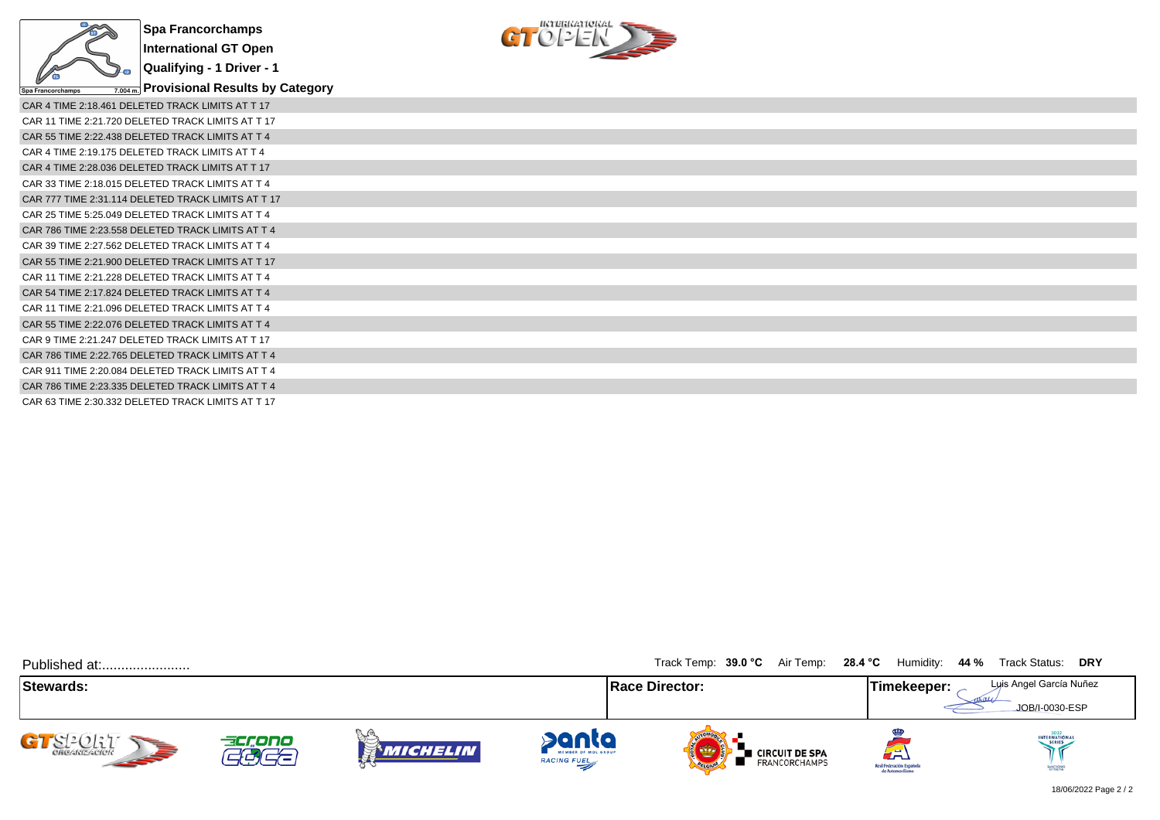

**Qualifying - 1 Driver - 1**

**Provisional Results by Category**



| CAR 4 TIME 2:18.461 DELETED TRACK LIMITS AT T 17   |
|----------------------------------------------------|
| CAR 11 TIME 2:21.720 DELETED TRACK LIMITS AT T 17  |
| CAR 55 TIME 2:22.438 DELETED TRACK LIMITS AT T 4   |
| CAR 4 TIME 2:19.175 DELETED TRACK LIMITS AT T 4    |
| CAR 4 TIME 2:28.036 DELETED TRACK LIMITS AT T 17   |
| CAR 33 TIME 2:18.015 DELETED TRACK LIMITS AT T 4   |
| CAR 777 TIME 2:31.114 DELETED TRACK LIMITS AT T 17 |
| CAR 25 TIME 5:25.049 DELETED TRACK LIMITS AT T 4   |
| CAR 786 TIME 2:23.558 DELETED TRACK LIMITS AT T 4  |
| CAR 39 TIME 2:27.562 DELETED TRACK LIMITS AT T 4   |
| CAR 55 TIME 2:21.900 DELETED TRACK LIMITS AT T 17  |
| CAR 11 TIME 2:21.228 DELETED TRACK LIMITS AT T 4   |
| CAR 54 TIME 2:17.824 DELETED TRACK LIMITS AT T 4   |
| CAR 11 TIME 2:21.096 DELETED TRACK LIMITS AT T 4   |
| CAR 55 TIME 2:22.076 DELETED TRACK LIMITS AT T 4   |
| CAR 9 TIME 2:21.247 DELETED TRACK LIMITS AT T 17   |
| CAR 786 TIME 2:22.765 DELETED TRACK LIMITS AT T 4  |
| CAR 911 TIME 2:20.084 DELETED TRACK LIMITS AT T 4  |
| CAR 786 TIME 2:23.335 DELETED TRACK LIMITS AT T 4  |
| CAR 63 TIME 2:30.332 DELETED TRACK LIMITS AT T 17  |

| Published at:             |                                    |            |                                                    | Track Temp: 39.0 °C Air Temp: 28.4 °C Humidity: 44 % Track Status: DRY |                                                     |                                           |
|---------------------------|------------------------------------|------------|----------------------------------------------------|------------------------------------------------------------------------|-----------------------------------------------------|-------------------------------------------|
| Stewards:                 |                                    |            |                                                    | <b>Race Director:</b>                                                  | Timekeeper:                                         | Luis Angel García Nuñez<br>JOB/I-0030-ESP |
| GTS2027<br><b>SEPTENT</b> | accono<br>$\overline{\phantom{a}}$ | Vichelin i | panta<br>MEMBER OF MOL GROUP<br><b>RACING FUEL</b> | <b>CIRCUIT DE SPA<br/>FRANCORCHAMPS</b>                                | لظم<br>Real Federación Española<br>de Automovilismo | INTERNATIONAL<br><b>SANCTIONED</b>        |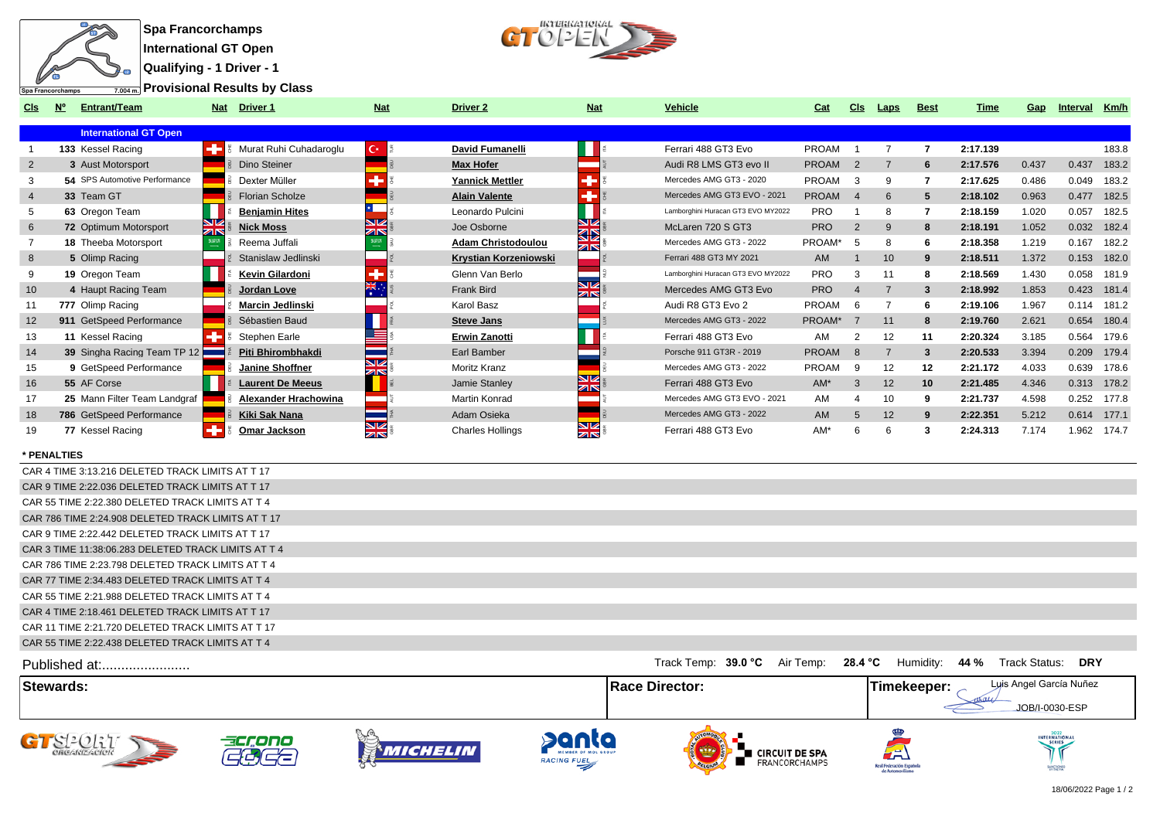

**Qualifying - 1 Driver - 1**

IKTERKATIOKAL  $CTO/2$ 

**Provisional Results by Class**

| CIS | <b>Entrant/Team</b><br><b>N°</b>     | Driver 1<br><b>Nat</b>              | <b>Nat</b>              | <b>Driver 2</b>              | <b>Nat</b>       | Vehicle                            | Cat          | <b>CIS</b>            | Laps | <b>Best</b>     | Time     | Gap   | Interval | Km/h        |
|-----|--------------------------------------|-------------------------------------|-------------------------|------------------------------|------------------|------------------------------------|--------------|-----------------------|------|-----------------|----------|-------|----------|-------------|
|     | <b>International GT Open</b>         |                                     |                         |                              |                  |                                    |              |                       |      |                 |          |       |          |             |
|     | 133 Kessel Racing                    | Murat Ruhi Cuhadaroglu              | $C^{k-1}$               | David Fumanelli              |                  | Ferrari 488 GT3 Evo                | <b>PROAM</b> |                       |      |                 | 2:17.139 |       |          | 183.8       |
| 2   | 3 Aust Motorsport                    | Dino Steiner                        |                         | <b>Max Hofer</b>             |                  | Audi R8 LMS GT3 evo II             | <b>PROAM</b> | $\overline{2}$        |      | 6               | 2:17.576 | 0.437 | 0.437    | 183.2       |
|     | <b>54</b> SPS Automotive Performance | Dexter Müller                       |                         | <b>Yannick Mettler</b>       | æ                | Mercedes AMG GT3 - 2020            | PROAM        | -3                    | 9    |                 | 2:17.625 | 0.486 | 0.049    | 183.2       |
|     | 33 Team GT                           | <b>Florian Scholze</b>              |                         | <b>Alain Valente</b>         |                  | Mercedes AMG GT3 EVO - 2021        | <b>PROAM</b> | $\boldsymbol{\Delta}$ | 6    | 5               | 2:18.102 | 0.963 | 0.477    | 182.5       |
|     | 63 Oregon Team                       | <b>Benjamin Hites</b>               |                         | Leonardo Pulcini             |                  | Lamborghini Huracan GT3 EVO MY2022 | <b>PRO</b>   |                       | 8    |                 | 2:18.159 | 1.020 | 0.057    | 182.5       |
| 6   | 72 Optimum Motorsport                | <b>NK</b><br>AR<br><b>Nick Moss</b> | NZ<br>ZK                | Joe Osborne                  | SR<br>32         | McLaren 720 S GT3                  | <b>PRO</b>   | 2                     | 9    | 8               | 2:18.191 | 1.052 |          | 0.032 182.4 |
|     | <b>18 Theeba Motorsport</b>          | Reema Juffali                       |                         | <b>Adam Christodoulou</b>    | zis              | Mercedes AMG GT3 - 2022            | PROAM*       | -5                    | 8    | 6               | 2:18.358 | 1.219 | 0.167    | 182.2       |
| 8   | 5 Olimp Racing                       | Stanislaw Jedlinski                 |                         | <b>Krystian Korzeniowski</b> |                  | Ferrari 488 GT3 MY 2021            | AM           |                       | 10   | 9               | 2:18.511 | 1.372 | 0.153    | 182.0       |
|     | 19 Oregon Team                       | Kevin Gilardoni                     | m.                      | Glenn Van Berlo              |                  | Lamborghini Huracan GT3 EVO MY2022 | <b>PRO</b>   | 3                     | 11   | 8               | 2:18.569 | 1.430 | 0.058    | 181.9       |
| 10  | 4 Haupt Racing Team                  | Jordan Love                         | <b>EXEC</b>             | <b>Frank Bird</b>            | NZ<br><b>ZIN</b> | Mercedes AMG GT3 Evo               | <b>PRO</b>   |                       |      | 3               | 2:18.992 | 1.853 | 0.423    | 181.4       |
|     | 777 Olimp Racing                     | <b>Marcin Jedlinski</b>             |                         | Karol Basz                   |                  | Audi R8 GT3 Evo 2                  | PROAM        | - 6                   |      | 6               | 2:19.106 | 1.967 |          | 0.114 181.2 |
| 12  | 911 GetSpeed Performance             | Sébastien Baud                      |                         | <b>Steve Jans</b>            |                  | Mercedes AMG GT3 - 2022            | PROAM*       |                       | 11   | 8               | 2:19.760 | 2.621 | 0.654    | 180.4       |
| 13  | 11 Kessel Racing                     | Stephen Earle                       |                         | <b>Erwin Zanotti</b>         |                  | Ferrari 488 GT3 Evo                | AM           |                       | 12   | 11              | 2:20.324 | 3.185 | 0.564    | 179.6       |
| 14  | 39 Singha Racing Team TP 12          | Piti Bhirombhakdi                   |                         | Earl Bamber                  |                  | Porsche 911 GT3R - 2019            | <b>PROAM</b> | -8                    |      | 3               | 2:20.533 | 3.394 | 0.209    | 179.4       |
| 15  | 9 GetSpeed Performance               | Janine Shoffner                     | $\overline{\mathbb{Z}}$ | <b>Moritz Kranz</b>          |                  | Mercedes AMG GT3 - 2022            | PROAM        | -9                    | 12   | 12              | 2:21.172 | 4.033 | 0.639    | 178.6       |
| 16  | 55 AF Corse                          | <b>Laurent De Meeus</b>             |                         | Jamie Stanley                | <b>ZIN</b>       | Ferrari 488 GT3 Evo                | $AM^*$       | 3                     | 12   | 10 <sup>1</sup> | 2:21.485 | 4.346 | 0.313    | 178.2       |
| 17  | 25 Mann Filter Team Landgraf         | Alexander Hrachowina                |                         | Martin Konrad                |                  | Mercedes AMG GT3 EVO - 2021        | AM           |                       | 10   | 9               | 2:21.737 | 4.598 |          | 0.252 177.8 |
| 18  | 786 GetSpeed Performance             | <b>Kiki Sak Nana</b>                |                         | Adam Osieka                  |                  | Mercedes AMG GT3 - 2022            | AM           | 5                     | 12   | 9               | 2:22.351 | 5.212 |          | 0.614 177.1 |
| 19  | 77 Kessel Racing                     | Omar Jackson                        | $\square$<br><b>ZIN</b> | <b>Charles Hollings</b>      | NZ<br><b>ZIN</b> | Ferrari 488 GT3 Evo                | AM*          |                       | 6    | 3               | 2:24.313 | 7.174 |          | 1.962 174.7 |

## **\* PENALTIES**

| CAR 4 TIME 3:13.216 DELETED TRACK LIMITS AT T 17    |                     |           |         |           |      |               |            |
|-----------------------------------------------------|---------------------|-----------|---------|-----------|------|---------------|------------|
| CAR 9 TIME 2:22.036 DELETED TRACK LIMITS AT T 17    |                     |           |         |           |      |               |            |
| CAR 55 TIME 2:22.380 DELETED TRACK LIMITS AT T 4    |                     |           |         |           |      |               |            |
| CAR 786 TIME 2:24.908 DELETED TRACK LIMITS AT T 17  |                     |           |         |           |      |               |            |
| CAR 9 TIME 2:22.442 DELETED TRACK LIMITS AT T 17    |                     |           |         |           |      |               |            |
| CAR 3 TIME 11:38:06.283 DELETED TRACK LIMITS AT T 4 |                     |           |         |           |      |               |            |
| CAR 786 TIME 2:23.798 DELETED TRACK LIMITS AT T 4   |                     |           |         |           |      |               |            |
| CAR 77 TIME 2:34.483 DELETED TRACK LIMITS AT T 4    |                     |           |         |           |      |               |            |
| CAR 55 TIME 2:21.988 DELETED TRACK LIMITS AT T 4    |                     |           |         |           |      |               |            |
| CAR 4 TIME 2:18.461 DELETED TRACK LIMITS AT T 17    |                     |           |         |           |      |               |            |
| CAR 11 TIME 2:21.720 DELETED TRACK LIMITS AT T 17   |                     |           |         |           |      |               |            |
| CAR 55 TIME 2:22.438 DELETED TRACK LIMITS AT T 4    |                     |           |         |           |      |               |            |
| Published at:                                       | Track Temp: 39.0 °C | Air Temp: | 28.4 °C | Humidity: | 44 % | Track Status: | <b>DRY</b> |

**Stewards: Race Director: Timekeeper:** Luis Angel García Nuñez JOB/I-0030-ESP **ANICHELIN** panta GT SPORT acrono **THE CIRCUIT DE SPA<br>EN FRANCORCHAMPS** ∕≡ RACING FUEL Real Federación Esp<br>de Automovilism Angeles

18/06/2022 Page 1 / 2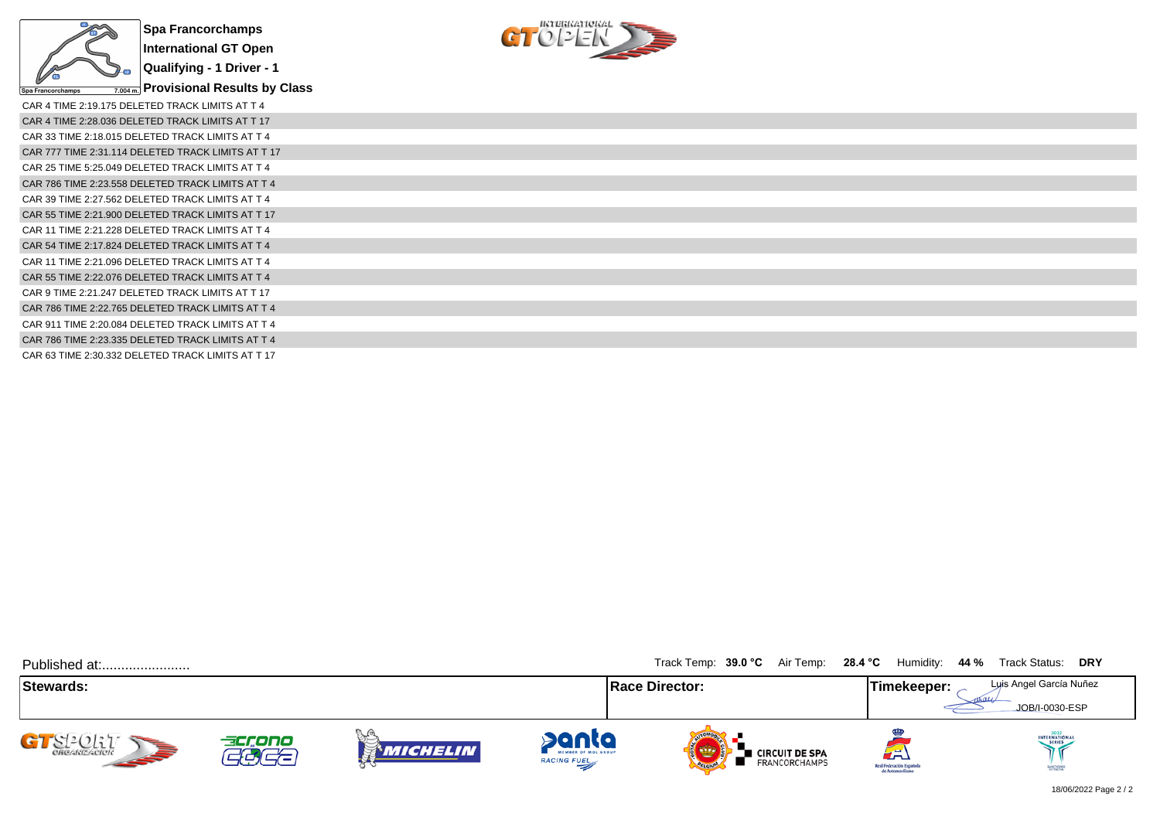



| CAR 4 TIME 2:19.175 DELETED TRACK LIMITS AT T 4    |
|----------------------------------------------------|
| CAR 4 TIME 2:28.036 DELETED TRACK LIMITS AT T 17   |
| CAR 33 TIME 2:18.015 DELETED TRACK LIMITS AT T 4   |
| CAR 777 TIME 2:31.114 DELETED TRACK LIMITS AT T 17 |
| CAR 25 TIME 5:25.049 DELETED TRACK LIMITS AT T 4   |
| CAR 786 TIME 2:23.558 DELETED TRACK LIMITS AT T 4  |
| CAR 39 TIME 2:27.562 DELETED TRACK LIMITS AT T 4   |
| CAR 55 TIME 2:21.900 DELETED TRACK LIMITS AT T 17  |
| CAR 11 TIME 2:21.228 DELETED TRACK LIMITS AT T 4   |
| CAR 54 TIME 2:17.824 DELETED TRACK LIMITS AT T 4   |
| CAR 11 TIME 2:21.096 DELETED TRACK LIMITS AT T 4   |
| CAR 55 TIME 2:22.076 DELETED TRACK LIMITS AT T 4   |
| CAR 9 TIME 2:21.247 DELETED TRACK LIMITS AT T 17   |
| CAR 786 TIME 2:22.765 DELETED TRACK LIMITS AT T 4  |
| CAR 911 TIME 2:20.084 DELETED TRACK LIMITS AT T 4  |
| CAR 786 TIME 2:23.335 DELETED TRACK LIMITS AT T 4  |
| CAR 63 TIME 2:30.332 DELETED TRACK LIMITS AT T 17  |

| Published at:             |                 |                                |                                             | Track Temp: 39.0 °C Air Temp: 28.4 °C                | Humidity:                                           | <b>DRY</b><br>44 %<br>Track Status:       |
|---------------------------|-----------------|--------------------------------|---------------------------------------------|------------------------------------------------------|-----------------------------------------------------|-------------------------------------------|
| Stewards:                 |                 |                                |                                             | <b>Race Director:</b>                                | Timekeeper:                                         | Luis Angel García Nuñez<br>JOB/I-0030-ESP |
| CI-CILLI<br><b>SEPTER</b> | accono<br>ہے ہے | $\mathbb{Z}^{(n)}$<br>Michelin | panta<br>MEMBER OF MOL GROUP<br>RACING FUEL | ■ CIRCUIT DE SPA<br><b>FRANCORCHAMPS</b><br>OFLORIDA | لطة<br>Real Federación Española<br>de Automovilismo | INTERNATIONAL<br>SANCTIONED               |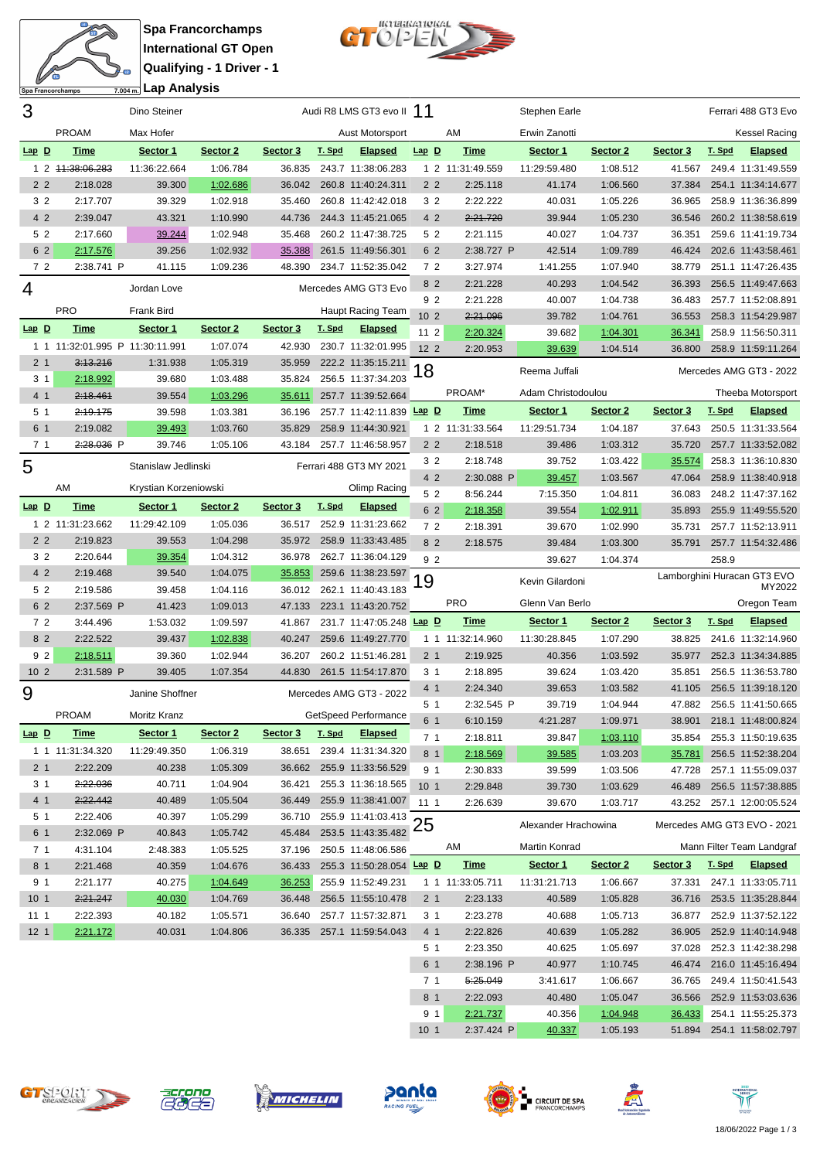



| 3               |                                 | Dino Steiner          |          |          |        | Audi R8 LMS GT3 evo II 11                          |                       |                      | Stephen Earle        |                      |                  | Ferrari 488 GT3 Evo                             |
|-----------------|---------------------------------|-----------------------|----------|----------|--------|----------------------------------------------------|-----------------------|----------------------|----------------------|----------------------|------------------|-------------------------------------------------|
|                 | <b>PROAM</b>                    | Max Hofer             |          |          |        | Aust Motorsport                                    |                       | AM                   | Erwin Zanotti        |                      |                  | <b>Kessel Racing</b>                            |
| $Lap$ $D$       | <b>Time</b>                     | Sector 1              | Sector 2 | Sector 3 | T. Spd | <b>Elapsed</b>                                     | $Lap$ $D$             | <b>Time</b>          | Sector 1             | Sector 2             | Sector 3         | T. Spd<br><b>Elapsed</b>                        |
|                 | 1 2 44:38:06.283                | 11:36:22.664          | 1:06.784 | 36.835   |        | 243.7 11:38:06.283                                 |                       | 1 2 11:31:49.559     | 11:29:59.480         | 1:08.512             | 41.567           | 249.4 11:31:49.559                              |
| 2 <sub>2</sub>  | 2:18.028                        | 39.300                | 1:02.686 | 36.042   |        | 260.8 11:40:24.311                                 | 2 <sub>2</sub>        | 2:25.118             | 41.174               | 1:06.560             | 37.384           | 254.1 11:34:14.677                              |
| 3 <sub>2</sub>  | 2:17.707                        | 39.329                | 1:02.918 | 35.460   |        | 260.8 11:42:42.018                                 | 3 <sub>2</sub>        | 2:22.222             | 40.031               | 1:05.226             | 36.965           | 258.9 11:36:36.899                              |
| 4 2             | 2:39.047                        | 43.321                | 1:10.990 | 44.736   |        | 244.3 11:45:21.065                                 | 4 2                   | 2:21.720             | 39.944               | 1:05.230             | 36.546           | 260.2 11:38:58.619                              |
| 52              | 2:17.660                        | 39.244                | 1:02.948 | 35.468   |        | 260.2 11:47:38.725                                 | 5 2                   | 2:21.115             | 40.027               | 1:04.737             | 36.351           | 259.6 11:41:19.734                              |
| 6 2             | 2:17.576                        | 39.256                | 1:02.932 | 35.388   |        | 261.5 11:49:56.301                                 | 6 2                   | 2:38.727 P           | 42.514               | 1:09.789             | 46.424           | 202.6 11:43:58.461                              |
| 7 2             | 2:38.741 P                      | 41.115                | 1:09.236 | 48.390   |        | 234.7 11:52:35.042                                 | 72                    | 3:27.974             | 1:41.255             | 1:07.940             | 38.779           | 251.1 11:47:26.435                              |
|                 |                                 |                       |          |          |        |                                                    | 8 2                   | 2:21.228             | 40.293               | 1:04.542             | 36.393           | 256.5 11:49:47.663                              |
| 4               |                                 | Jordan Love           |          |          |        | Mercedes AMG GT3 Evo                               | 92                    | 2:21.228             | 40.007               | 1:04.738             | 36.483           | 257.7 11:52:08.891                              |
|                 | <b>PRO</b>                      | Frank Bird            |          |          |        | Haupt Racing Team                                  | 10 <sub>2</sub>       | 2:21.096             | 39.782               | 1:04.761             | 36.553           | 258.3 11:54:29.987                              |
| $Lap$ $D$       | <b>Time</b>                     | Sector 1              | Sector 2 | Sector 3 | T. Spd | <b>Elapsed</b>                                     | $112$                 | 2:20.324             | 39.682               | 1:04.301             | 36.341           | 258.9 11:56:50.311                              |
|                 | 1 1 11:32:01.995 P 11:30:11.991 |                       | 1:07.074 | 42.930   |        | 230.7 11:32:01.995                                 | 12 <sub>2</sub>       | 2:20.953             | 39.639               | 1:04.514             | 36.800           | 258.9 11:59:11.264                              |
| 2 <sub>1</sub>  | 3:13.216                        | 1:31.938              | 1:05.319 | 35.959   |        | 222.2 11:35:15.211                                 | 18                    |                      | Reema Juffali        |                      |                  | Mercedes AMG GT3 - 2022                         |
| 3 <sub>1</sub>  | 2:18.992                        | 39.680                | 1:03.488 | 35.824   |        | 256.5 11:37:34.203                                 |                       |                      |                      |                      |                  |                                                 |
| 4 <sub>1</sub>  | 2:18.461                        | 39.554                | 1:03.296 | 35.611   |        | 257.7 11:39:52.664                                 |                       | PROAM*               | Adam Christodoulou   |                      |                  | Theeba Motorsport                               |
| 5 <sub>1</sub>  | 2:19.175                        | 39.598                | 1:03.381 | 36.196   |        | 257.7 11:42:11.839 Lap D                           |                       | <b>Time</b>          | Sector 1             | Sector 2             | Sector 3         | T. Spd<br><b>Elapsed</b>                        |
| 6 1             | 2:19.082                        | 39.493                | 1:03.760 | 35.829   |        | 258.9 11:44:30.921                                 |                       | 1 2 11:31:33.564     | 11:29:51.734         | 1:04.187             | 37.643           | 250.5 11:31:33.564                              |
| 7 <sub>1</sub>  | 2:28.036 P                      | 39.746                | 1:05.106 | 43.184   |        | 257.7 11:46:58.957                                 | 2 <sub>2</sub>        | 2:18.518             | 39.486               | 1:03.312             | 35.720           | 257.7 11:33:52.082                              |
| 5               |                                 | Stanislaw Jedlinski   |          |          |        | Ferrari 488 GT3 MY 2021                            | 3 <sub>2</sub>        | 2:18.748             | 39.752               | 1:03.422             | 35.574           | 258.3 11:36:10.830                              |
|                 | AM                              | Krystian Korzeniowski |          |          |        | Olimp Racing                                       | 4 2                   | 2:30.088 P           | 39.457               | 1:03.567             | 47.064           | 258.9 11:38:40.918                              |
|                 |                                 |                       |          |          |        |                                                    | 5 2                   | 8:56.244             | 7:15.350             | 1:04.811             | 36.083           | 248.2 11:47:37.162                              |
| $Lap$ $D$       | <b>Time</b>                     | Sector 1              | Sector 2 | Sector 3 | T. Spd | <b>Elapsed</b>                                     | 6 2                   | 2:18.358             | 39.554               | 1:02.911             | 35.893           | 255.9 11:49:55.520                              |
|                 | 1 2 11:31:23.662                | 11:29:42.109          | 1:05.036 | 36.517   |        | 252.9 11:31:23.662                                 | 72                    | 2:18.391             | 39.670               | 1:02.990             | 35.731           | 257.7 11:52:13.911                              |
| 2 <sub>2</sub>  | 2:19.823                        | 39.553                | 1:04.298 | 35.972   |        | 258.9 11:33:43.485                                 | 8 2                   | 2:18.575             | 39.484               | 1:03.300             | 35.791           | 257.7 11:54:32.486                              |
| 3 <sub>2</sub>  | 2:20.644                        | 39.354                | 1:04.312 | 36.978   |        | 262.7 11:36:04.129                                 | 92                    |                      | 39.627               | 1:04.374             |                  | 258.9                                           |
|                 |                                 |                       |          |          |        |                                                    |                       |                      |                      |                      |                  |                                                 |
| 4 2             | 2:19.468                        | 39.540                | 1:04.075 | 35.853   |        | 259.6 11:38:23.597                                 |                       |                      | Kevin Gilardoni      |                      |                  | Lamborghini Huracan GT3 EVO                     |
| 5 2             | 2:19.586                        | 39.458                | 1:04.116 | 36.012   |        | 262.1 11:40:43.183                                 | 19                    |                      |                      |                      |                  | MY2022                                          |
| 6 2             | 2:37.569 P                      | 41.423                | 1:09.013 | 47.133   |        | 223.1 11:43:20.752                                 |                       | <b>PRO</b>           | Glenn Van Berlo      |                      |                  | Oregon Team                                     |
| 72              | 3:44.496                        | 1:53.032              | 1:09.597 | 41.867   |        | 231.7 11:47:05.248 Lap D                           |                       | <b>Time</b>          | Sector 1             | Sector 2             | Sector 3         | T. Spd<br><b>Elapsed</b>                        |
| 8 2             | 2:22.522                        | 39.437                | 1:02.838 | 40.247   |        | 259.6 11:49:27.770                                 |                       | 1 1 11:32:14.960     | 11:30:28.845         | 1:07.290             | 38.825           | 241.6 11:32:14.960                              |
| 9 <sub>2</sub>  | 2:18.511                        | 39.360                | 1:02.944 | 36.207   |        | 260.2 11:51:46.281                                 | 2 <sub>1</sub>        | 2:19.925             | 40.356               | 1:03.592             | 35.977           | 252.3 11:34:34.885                              |
| 10 <sub>2</sub> | 2:31.589 P                      | 39.405                | 1:07.354 | 44.830   |        | 261.5 11:54:17.870                                 | 3 <sub>1</sub>        | 2:18.895             | 39.624               | 1:03.420             | 35.851           | 256.5 11:36:53.780                              |
| 9               |                                 | Janine Shoffner       |          |          |        | Mercedes AMG GT3 - 2022                            | 4 1                   | 2:24.340             | 39.653               | 1:03.582             | 41.105           | 256.5 11:39:18.120                              |
|                 | <b>PROAM</b>                    | Moritz Kranz          |          |          |        | GetSpeed Performance                               | 5 <sub>1</sub>        | 2:32.545 P           | 39.719               | 1:04.944             | 47.882           | 256.5 11:41:50.665                              |
| $Lap$ D         | <b>Time</b>                     | Sector 1              | Sector 2 | Sector 3 | T. Spd | <b>Elapsed</b>                                     | 6 1                   | 6:10.159             | 4:21.287             | 1:09.971             |                  | 38.901 218.1 11:48:00.824                       |
|                 | 1 1 11:31:34.320                | 11:29:49.350          | 1:06.319 |          |        | 38.651 239.4 11:31:34.320                          | 7 <sub>1</sub>        | 2:18.811             | 39.847               | 1:03.110             | 35.854           | 255.3 11:50:19.635                              |
| 2 <sub>1</sub>  | 2:22.209                        | 40.238                | 1:05.309 |          |        | 36.662 255.9 11:33:56.529                          | 8 1<br>9 1            | 2:18.569<br>2:30.833 | 39.585<br>39.599     | 1:03.203<br>1:03.506 | 35.781<br>47.728 | 256.5 11:52:38.204<br>257.1 11:55:09.037        |
| 3 1             | 2:22.036                        | 40.711                | 1:04.904 | 36.421   |        | 255.3 11:36:18.565                                 | 10 <sub>1</sub>       | 2:29.848             | 39.730               | 1:03.629             | 46.489           | 256.5 11:57:38.885                              |
| 4 <sub>1</sub>  | 2:22.442                        | 40.489                | 1:05.504 | 36.449   |        | 255.9 11:38:41.007                                 | $111$                 | 2:26.639             | 39.670               | 1:03.717             |                  | 43.252 257.1 12:00:05.524                       |
| 5 1             | 2:22.406                        | 40.397                | 1:05.299 |          |        |                                                    |                       |                      |                      |                      |                  |                                                 |
| 6 1             | 2:32.069 P                      | 40.843                | 1:05.742 | 45.484   |        | 36.710 255.9 11:41:03.413 25<br>253.5 11:43:35.482 |                       |                      | Alexander Hrachowina |                      |                  | Mercedes AMG GT3 EVO - 2021                     |
| 7 <sub>1</sub>  | 4:31.104                        | 2:48.383              | 1:05.525 |          |        | 37.196 250.5 11:48:06.586                          |                       | AM                   | Martin Konrad        |                      |                  | Mann Filter Team Landgraf                       |
| 8 1             | 2:21.468                        | 40.359                | 1:04.676 | 36.433   |        | 255.3 11:50:28.054 Lap D                           |                       | <b>Time</b>          | Sector 1             | Sector 2             | Sector 3         | <u>T. Spd</u><br><u>Elapsed</u>                 |
| 9 1             | 2:21.177                        | 40.275                | 1:04.649 | 36.253   |        | 255.9 11:52:49.231                                 |                       | 1 1 11:33:05.711     | 11:31:21.713         | 1:06.667             |                  | 37.331 247.1 11:33:05.711                       |
| 10 <sub>1</sub> | 2:21.247                        | 40.030                | 1:04.769 | 36.448   |        | 256.5 11:55:10.478                                 | 2 <sub>1</sub>        | 2:23.133             | 40.589               | 1:05.828             |                  | 36.716 253.5 11:35:28.844                       |
| 111             | 2:22.393                        | 40.182                | 1:05.571 | 36.640   |        | 257.7 11:57:32.871                                 | 31                    | 2:23.278             | 40.688               | 1:05.713             | 36.877           | 252.9 11:37:52.122                              |
| 12 <sub>1</sub> | 2:21.172                        | 40.031                | 1:04.806 |          |        | 36.335 257.1 11:59:54.043                          | 4 <sub>1</sub>        | 2:22.826             | 40.639               | 1:05.282             | 36.905           | 252.9 11:40:14.948                              |
|                 |                                 |                       |          |          |        |                                                    | 5 1                   | 2:23.350             | 40.625               | 1:05.697             | 37.028           | 252.3 11:42:38.298                              |
|                 |                                 |                       |          |          |        |                                                    | 6 1                   | 2:38.196 P           | 40.977               | 1:10.745             | 46.474           | 216.0 11:45:16.494                              |
|                 |                                 |                       |          |          |        |                                                    | 7 <sub>1</sub><br>8 1 | 5:25.049<br>2:22.093 | 3:41.617<br>40.480   | 1:06.667<br>1:05.047 | 36.765           | 249.4 11:50:41.543<br>36.566 252.9 11:53:03.636 |













9 1 2:21.737 40.356 1:04.948 36.433 254.1 11:55:25.373 10 1 2:37.424 P 40.337 1:05.193 51.894 254.1 11:58:02.797

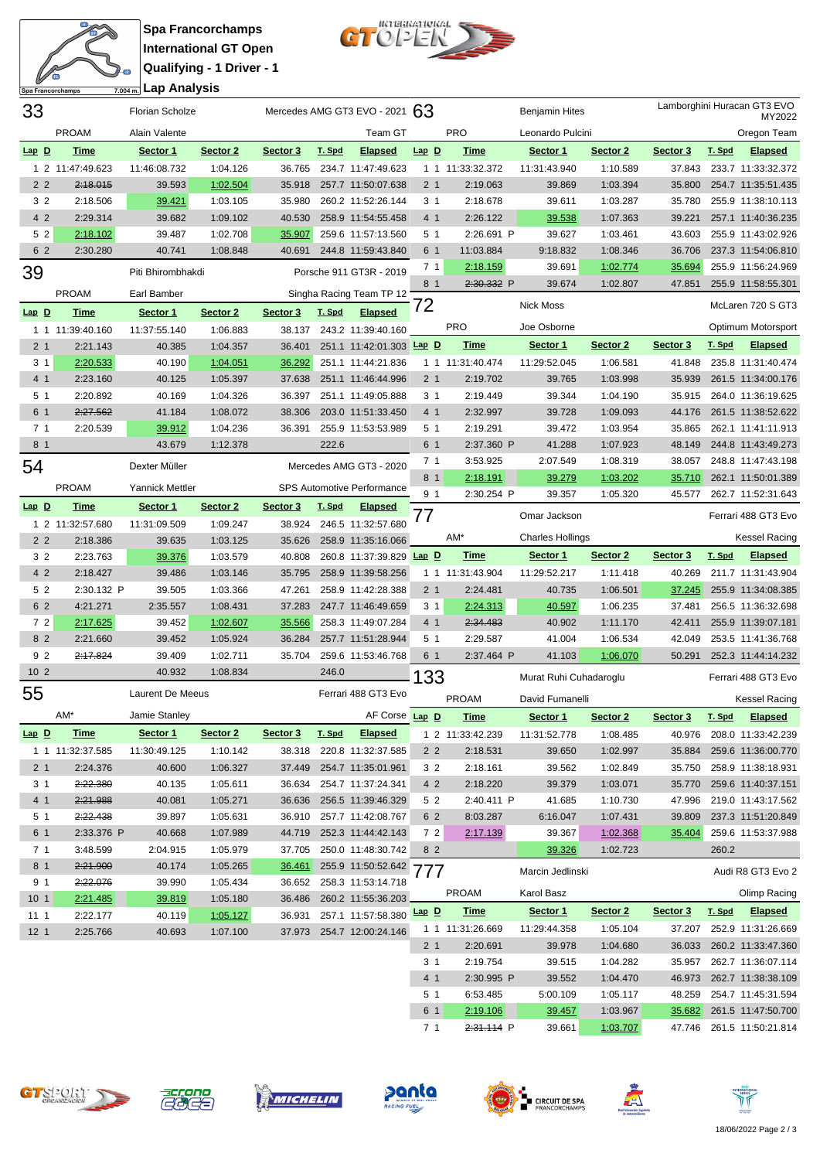



| 33                     |                      | <b>Florian Scholze</b>  |                      |                  |        | Mercedes AMG GT3 EVO - 2021 $63$         |                       |                        | <b>Benjamin Hites</b>   |                      |          | Lamborghini Huracan GT3 EVO<br>MY2022           |
|------------------------|----------------------|-------------------------|----------------------|------------------|--------|------------------------------------------|-----------------------|------------------------|-------------------------|----------------------|----------|-------------------------------------------------|
|                        | <b>PROAM</b>         | Alain Valente           |                      |                  |        | <b>Team GT</b>                           |                       | <b>PRO</b>             | Leonardo Pulcini        |                      |          | Oregon Team                                     |
| $Lap$ $D$              | <b>Time</b>          | Sector 1                | Sector <sub>2</sub>  | Sector 3         | T. Spd | <b>Elapsed</b>                           | $Lap$ $D$             | <b>Time</b>            | Sector 1                | Sector 2             | Sector 3 | T. Spd<br><b>Elapsed</b>                        |
|                        | 1 2 11:47:49.623     | 11:46:08.732            | 1:04.126             | 36.765           |        | 234.7 11:47:49.623                       |                       | 1 1 11:33:32.372       | 11:31:43.940            | 1:10.589             | 37.843   | 233.7 11:33:32.372                              |
| 2 <sub>2</sub>         | 2:18.015             | 39.593                  | 1:02.504             | 35.918           |        | 257.7 11:50:07.638                       | 2 <sub>1</sub>        | 2:19.063               | 39.869                  | 1:03.394             | 35.800   | 254.7 11:35:51.435                              |
| 3 2                    | 2:18.506             | 39.421                  | 1:03.105             | 35.980           |        | 260.2 11:52:26.144                       | 3 <sub>1</sub>        | 2:18.678               | 39.611                  | 1:03.287             | 35.780   | 255.9 11:38:10.113                              |
| 4 2                    | 2:29.314             | 39.682                  | 1:09.102             | 40.530           |        | 258.9 11:54:55.458                       | 4 1                   | 2:26.122               | 39.538                  | 1:07.363             | 39.221   | 257.1 11:40:36.235                              |
| 52                     | 2:18.102             | 39.487                  | 1:02.708             | 35.907           |        | 259.6 11:57:13.560                       | 5 <sub>1</sub>        | 2:26.691 P             | 39.627                  | 1:03.461             | 43.603   | 255.9 11:43:02.926                              |
| 6 2                    | 2:30.280             | 40.741                  | 1:08.848             | 40.691           |        | 244.8 11:59:43.840                       | 6 1                   | 11:03.884              | 9:18.832                | 1:08.346             | 36.706   | 237.3 11:54:06.810                              |
| 39                     |                      | Piti Bhirombhakdi       |                      |                  |        | Porsche 911 GT3R - 2019                  | 7 <sub>1</sub>        | 2:18.159               | 39.691                  | 1:02.774             | 35.694   | 255.9 11:56:24.969                              |
|                        |                      |                         |                      |                  |        |                                          | 8 1                   | 2:30.332 P             | 39.674                  | 1:02.807             | 47.851   | 255.9 11:58:55.301                              |
|                        | <b>PROAM</b>         | Earl Bamber             |                      |                  |        | Singha Racing Team TP 12                 | 72                    |                        | <b>Nick Moss</b>        |                      |          | McLaren 720 S GT3                               |
| $Lap$ $D$              | <b>Time</b>          | Sector 1                | Sector 2             | Sector 3         | T. Spd | <b>Elapsed</b>                           |                       |                        |                         |                      |          |                                                 |
|                        | 1 1 11:39:40.160     | 11:37:55.140            | 1:06.883             | 38.137           |        | 243.2 11:39:40.160                       |                       | <b>PRO</b>             | Joe Osborne             |                      |          | Optimum Motorsport                              |
| 2 <sub>1</sub>         | 2:21.143             | 40.385                  | 1:04.357             | 36.401           |        | 251.1 11:42:01.303 Lap D                 |                       | <b>Time</b>            | Sector 1                | Sector 2             | Sector 3 | T. Spd<br><b>Elapsed</b>                        |
| 3 <sub>1</sub>         | 2:20.533             | 40.190                  | 1:04.051             | 36.292           |        | 251.1 11:44:21.836                       |                       | 1 1 11:31:40.474       | 11:29:52.045            | 1:06.581             | 41.848   | 235.8 11:31:40.474                              |
| 4 <sub>1</sub>         | 2:23.160             | 40.125                  | 1:05.397             | 37.638           |        | 251.1 11:46:44.996                       | 2 <sub>1</sub>        | 2:19.702               | 39.765                  | 1:03.998             | 35.939   | 261.5 11:34:00.176                              |
| 5 <sub>1</sub>         | 2:20.892             | 40.169                  | 1:04.326             | 36.397           |        | 251.1 11:49:05.888                       | 3 <sub>1</sub>        | 2:19.449               | 39.344                  | 1:04.190             | 35.915   | 264.0 11:36:19.625                              |
| 6 1                    | 2:27.562             | 41.184                  | 1:08.072             | 38.306           |        | 203.0 11:51:33.450                       | 4 <sub>1</sub>        | 2:32.997               | 39.728                  | 1:09.093             | 44.176   | 261.5 11:38:52.622                              |
| 7 <sub>1</sub>         | 2:20.539             | 39.912                  | 1:04.236             | 36.391           |        | 255.9 11:53:53.989                       | 5 1                   | 2:19.291               | 39.472                  | 1:03.954             | 35.865   | 262.1 11:41:11.913                              |
| 8 1                    |                      | 43.679                  | 1:12.378             |                  | 222.6  |                                          | 6 1                   | 2:37.360 P             | 41.288                  | 1:07.923             | 48.149   | 244.8 11:43:49.273                              |
| 54                     |                      | Dexter Müller           |                      |                  |        | Mercedes AMG GT3 - 2020                  | 7 <sub>1</sub>        | 3:53.925               | 2:07.549                | 1:08.319             | 38.057   | 248.8 11:47:43.198                              |
|                        | <b>PROAM</b>         | <b>Yannick Mettler</b>  |                      |                  |        | SPS Automotive Performance               | 8 1                   | 2:18.191               | 39.279                  | 1:03.202             | 35.710   | 262.1 11:50:01.389                              |
| $Lap$ D                | <b>Time</b>          | Sector 1                | Sector <sub>2</sub>  | Sector 3         | T. Spd | <b>Elapsed</b>                           | 9 <sub>1</sub>        | 2:30.254 P             | 39.357                  | 1:05.320             | 45.577   | 262.7 11:52:31.643                              |
|                        | 1 2 11:32:57.680     | 11:31:09.509            | 1:09.247             | 38.924           |        | 246.5 11:32:57.680                       | 77                    |                        | Omar Jackson            |                      |          | Ferrari 488 GT3 Evo                             |
| 2 <sub>2</sub>         | 2:18.386             | 39.635                  | 1:03.125             | 35.626           |        | 258.9 11:35:16.066                       |                       | AM*                    | <b>Charles Hollings</b> |                      |          | <b>Kessel Racing</b>                            |
| 3 <sub>2</sub>         | 2:23.763             | 39.376                  | 1:03.579             | 40.808           |        | 260.8 11:37:39.829 Lap D                 |                       | <b>Time</b>            | Sector 1                | Sector 2             | Sector 3 | T. Spd<br><b>Elapsed</b>                        |
| 4 2                    |                      |                         |                      |                  |        |                                          |                       |                        |                         |                      |          |                                                 |
|                        | 2:18.427             | 39.486                  | 1:03.146             | 35.795           |        | 258.9 11:39:58.256                       |                       | 1 1 11:31:43.904       | 11:29:52.217            | 1:11.418             | 40.269   | 211.7 11:31:43.904                              |
| 5 2                    | 2:30.132 P           | 39.505                  | 1:03.366             | 47.261           |        | 258.9 11:42:28.388                       | 2 <sub>1</sub>        | 2:24.481               | 40.735                  | 1:06.501             | 37.245   | 255.9 11:34:08.385                              |
| 6 2                    | 4:21.271             | 2:35.557                | 1:08.431             | 37.283           |        | 247.7 11:46:49.659                       | 3 <sub>1</sub>        | 2:24.313               | 40.597                  | 1:06.235             | 37.481   | 256.5 11:36:32.698                              |
| 72                     | 2:17.625             | 39.452                  | 1:02.607             | 35.566           |        | 258.3 11:49:07.284                       | 4 1                   | 2:34.483               | 40.902                  | 1:11.170             | 42.411   | 255.9 11:39:07.181                              |
| 8 2                    | 2:21.660             | 39.452                  | 1:05.924             | 36.284           |        | 257.7 11:51:28.944                       | 5 <sub>1</sub>        | 2:29.587               | 41.004                  | 1:06.534             | 42.049   | 253.5 11:41:36.768                              |
| 9 <sub>2</sub>         | 2:17.824             | 39.409                  | 1:02.711             | 35.704           |        | 259.6 11:53:46.768                       | 6 1                   | 2:37.464 P             | 41.103                  | 1:06.070             | 50.291   | 252.3 11:44:14.232                              |
| 10 <sub>2</sub>        |                      | 40.932                  | 1:08.834             |                  | 246.0  |                                          |                       |                        | Murat Ruhi Cuhadaroglu  |                      |          | Ferrari 488 GT3 Evo                             |
|                        |                      | <b>Laurent De Meeus</b> |                      |                  |        | Ferrari 488 GT3 Evo                      | 133                   |                        |                         |                      |          |                                                 |
| 55                     |                      |                         |                      |                  |        |                                          |                       | <b>PROAM</b>           | David Fumanelli         |                      |          | <b>Kessel Racing</b>                            |
|                        | AM*                  | Jamie Stanley           |                      |                  |        | AF Corse Lap D                           |                       | <b>Time</b>            | Sector 1                | Sector 2             | Sector 3 | T. Spd<br><b>Elapsed</b>                        |
| $Lap$ $D$              | <b>Time</b>          | Sector 1                | Sector 2             | Sector 3         | T. Spd | <b>Elapsed</b>                           |                       | 1 2 11:33:42.239       | 11:31:52.778            | 1:08.485             | 40.976   | 208.0 11:33:42.239                              |
|                        | 1 1 11:32:37.585     | 11:30:49.125            | 1:10.142             | 38.318           |        | 220.8 11:32:37.585                       | 2 <sub>2</sub>        | 2:18.531               | 39.650                  | 1:02.997             | 35.884   | 259.6 11:36:00.770                              |
| 2 <sub>1</sub>         | 2:24.376             | 40.600                  | 1:06.327             | 37.449           |        | 254.7 11:35:01.961                       | 3 <sub>2</sub>        | 2:18.161               | 39.562                  | 1:02.849             | 35.750   | 258.9 11:38:18.931                              |
| 3 <sub>1</sub>         | 2:22.380             | 40.135                  | 1:05.611             | 36.634           |        | 254.7 11:37:24.341                       | 4 2                   | 2:18.220               | 39.379                  | 1:03.071             | 35.770   | 259.6 11:40:37.151                              |
| 4 <sub>1</sub>         | 2:21.988             | 40.081                  | 1:05.271             | 36.636           |        | 256.5 11:39:46.329                       | 5 2                   | 2:40.411 P             | 41.685                  | 1:10.730             | 47.996   | 219.0 11:43:17.562                              |
| 5 1                    | 2:22.438             | 39.897                  | 1:05.631             | 36.910           |        | 257.7 11:42:08.767                       | 6 2                   | 8:03.287               | 6:16.047                | 1:07.431             | 39.809   | 237.3 11:51:20.849                              |
| 6 1                    | 2:33.376 P           | 40.668                  | 1:07.989             | 44.719           |        | 252.3 11:44:42.143                       | 72                    | <u>2:17.139</u>        | 39.367                  | 1:02.368             | 35.404   | 259.6 11:53:37.988                              |
| 7 <sub>1</sub>         | 3:48.599             | 2:04.915                | 1:05.979             | 37.705           |        | 250.0 11:48:30.742                       | 8 2                   |                        | 39.326                  | 1:02.723             |          | 260.2                                           |
| 8 1                    | 2:21.900<br>2:22.076 | 40.174<br>39.990        | 1:05.265<br>1:05.434 | 36.461<br>36.652 |        | 255.9 11:50:52.642<br>258.3 11:53:14.718 | 777                   |                        | Marcin Jedlinski        |                      |          | Audi R8 GT3 Evo 2                               |
| 9 1<br>10 <sub>1</sub> | 2:21.485             |                         | 1:05.180             | 36.486           |        | 260.2 11:55:36.203                       |                       | <b>PROAM</b>           | Karol Basz              |                      |          | Olimp Racing                                    |
| 111                    | 2:22.177             | 39.819<br>40.119        | 1:05.127             | 36.931           |        | 257.1 11:57:58.380                       | <b>Lap D</b>          | <b>Time</b>            | Sector 1                | Sector 2             | Sector 3 | T. Spd<br><b>Elapsed</b>                        |
| 12 <sub>1</sub>        | 2:25.766             | 40.693                  | 1:07.100             |                  |        | 37.973 254.7 12:00:24.146                |                       | 1 1 11:31:26.669       | 11:29:44.358            | 1:05.104             | 37.207   | 252.9 11:31:26.669                              |
|                        |                      |                         |                      |                  |        |                                          | 2 <sub>1</sub>        | 2:20.691               | 39.978                  | 1:04.680             | 36.033   | 260.2 11:33:47.360                              |
|                        |                      |                         |                      |                  |        |                                          | 3 1                   | 2:19.754               | 39.515                  | 1:04.282             | 35.957   | 262.7 11:36:07.114                              |
|                        |                      |                         |                      |                  |        |                                          | 41                    | 2:30.995 P             | 39.552                  | 1:04.470             | 46.973   | 262.7 11:38:38.109                              |
|                        |                      |                         |                      |                  |        |                                          | 5 1                   | 6:53.485               | 5:00.109                | 1:05.117             | 48.259   | 254.7 11:45:31.594                              |
|                        |                      |                         |                      |                  |        |                                          | 6 1<br>7 <sub>1</sub> | 2:19.106<br>2:31.114 P | 39.457<br>39.661        | 1:03.967<br>1:03.707 | 35.682   | 261.5 11:47:50.700<br>47.746 261.5 11:50:21.814 |













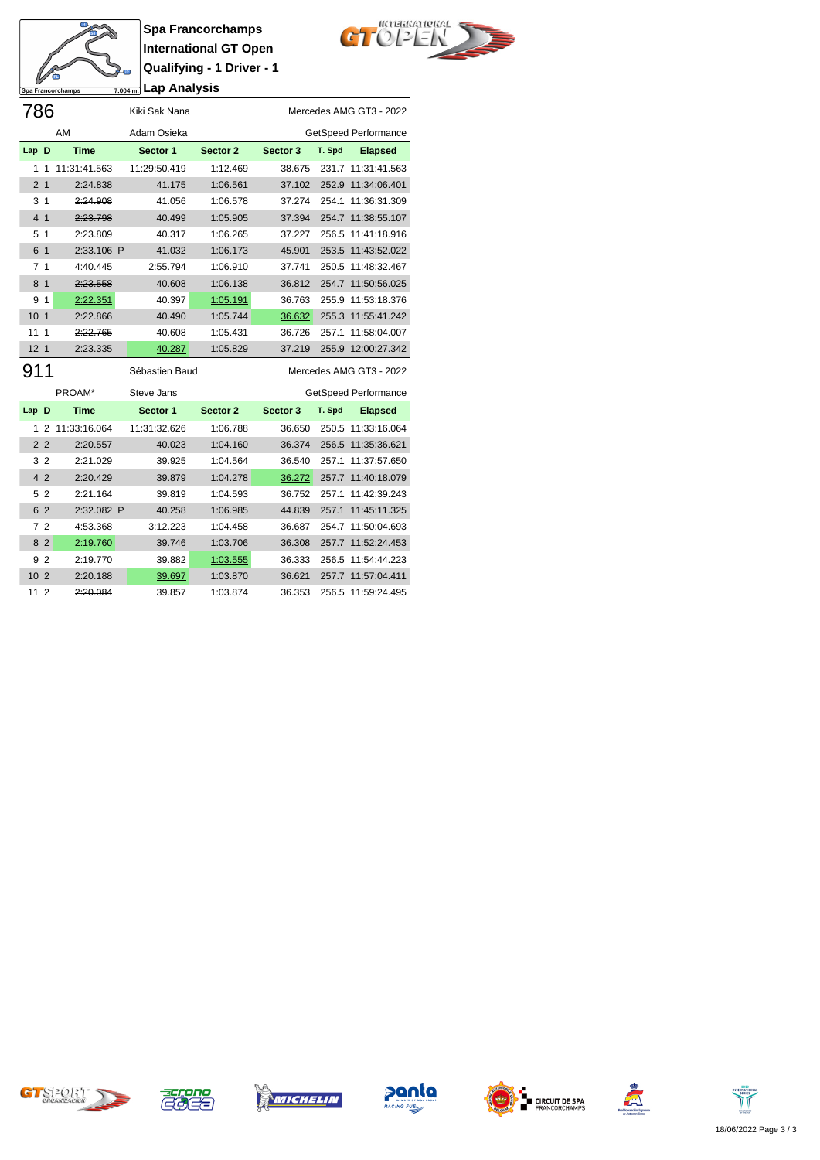

**Spa Francorchamps International GT Open Qualifying - 1 Driver - 1 Lap Analysis**



| 786             |                |                     | Kiki Sak Nana  |          |          |        | Mercedes AMG GT3 - 2022 |
|-----------------|----------------|---------------------|----------------|----------|----------|--------|-------------------------|
|                 |                | AM                  | Adam Osieka    |          |          |        | GetSpeed Performance    |
| $Lap$ D         |                | <b>Time</b>         | Sector 1       | Sector 2 | Sector 3 | T. Spd | <b>Elapsed</b>          |
| 1               |                | 11:31:41.563        | 11:29:50.419   | 1:12.469 | 38.675   | 231.7  | 11:31:41.563            |
| 2 <sub>1</sub>  |                | 2:24.838            | 41.175         | 1:06.561 | 37.102   | 252.9  | 11:34:06.401            |
| 3 <sub>1</sub>  |                | 2:24.908            | 41.056         | 1:06.578 | 37.274   | 254.1  | 11:36:31.309            |
| 4 <sub>1</sub>  |                | 2:23.798            | 40.499         | 1:05.905 | 37.394   |        | 254.7 11:38:55.107      |
| 5 <sub>1</sub>  |                | 2:23.809            | 40.317         | 1:06.265 | 37.227   | 256.5  | 11:41:18.916            |
| 6 1             |                | 2:33.106 P          | 41.032         | 1:06.173 | 45.901   | 253.5  | 11:43:52.022            |
| 7 <sub>1</sub>  |                | 4:40.445            | 2:55.794       | 1:06.910 | 37.741   | 250.5  | 11:48:32.467            |
| 8 <sub>1</sub>  |                | 2:23.558            | 40.608         | 1:06.138 | 36.812   |        | 254.7 11:50:56.025      |
| 9               | $\mathbf 1$    | 2:22.351            | 40.397         | 1:05.191 | 36.763   | 255.9  | 11:53:18.376            |
| 10 <sub>1</sub> |                | 2:22.866            | 40.490         | 1:05.744 | 36.632   |        | 255.3 11:55:41.242      |
| 11              | $\overline{1}$ | 2:22.765            | 40.608         | 1:05.431 | 36.726   | 257.1  | 11:58:04.007            |
| 12 <sub>1</sub> |                | <del>2:23.335</del> | 40.287         | 1:05.829 | 37.219   | 255.9  | 12:00:27.342            |
|                 |                |                     | Sébastien Baud |          |          |        | Mercedes AMG GT3 - 2022 |

|                 |                | PROAM*       | Steve Jans   |          |          |        | GetSpeed Performance |
|-----------------|----------------|--------------|--------------|----------|----------|--------|----------------------|
| $Lap$ D         |                | Time         | Sector 1     | Sector 2 | Sector 3 | T. Spd | <b>Elapsed</b>       |
|                 | 2              | 11:33:16.064 | 11:31:32.626 | 1:06.788 | 36.650   | 250.5  | 11:33:16.064         |
|                 | 2 <sub>2</sub> | 2:20.557     | 40.023       | 1:04.160 | 36.374   | 256.5  | 11:35:36.621         |
| 3               | $\overline{2}$ | 2:21.029     | 39.925       | 1:04.564 | 36.540   | 2571   | 11:37:57.650         |
| $\overline{4}$  | $\overline{2}$ | 2:20.429     | 39.879       | 1:04.278 | 36.272   |        | 257.7 11:40:18.079   |
|                 | 5 2            | 2:21.164     | 39.819       | 1:04.593 | 36.752   | 2571   | 11:42:39.243         |
|                 | 6 2            | 2:32.082 P   | 40.258       | 1:06.985 | 44.839   | 257.1  | 11:45:11.325         |
|                 | 72             | 4:53.368     | 3:12.223     | 1:04.458 | 36.687   |        | 254.7 11:50:04.693   |
| 8               | 2              | 2:19.760     | 39.746       | 1:03.706 | 36,308   |        | 257.7 11:52:24.453   |
| 9               | $\overline{2}$ | 2:19.770     | 39.882       | 1:03.555 | 36.333   | 256.5  | 11:54:44.223         |
| 10 <sub>2</sub> |                | 2:20.188     | 39.697       | 1:03.870 | 36.621   | 257.7  | 11:57:04.411         |
| 11              | $\overline{2}$ | 2:20.084     | 39.857       | 1:03.874 | 36.353   |        | 256.5 11:59:24.495   |













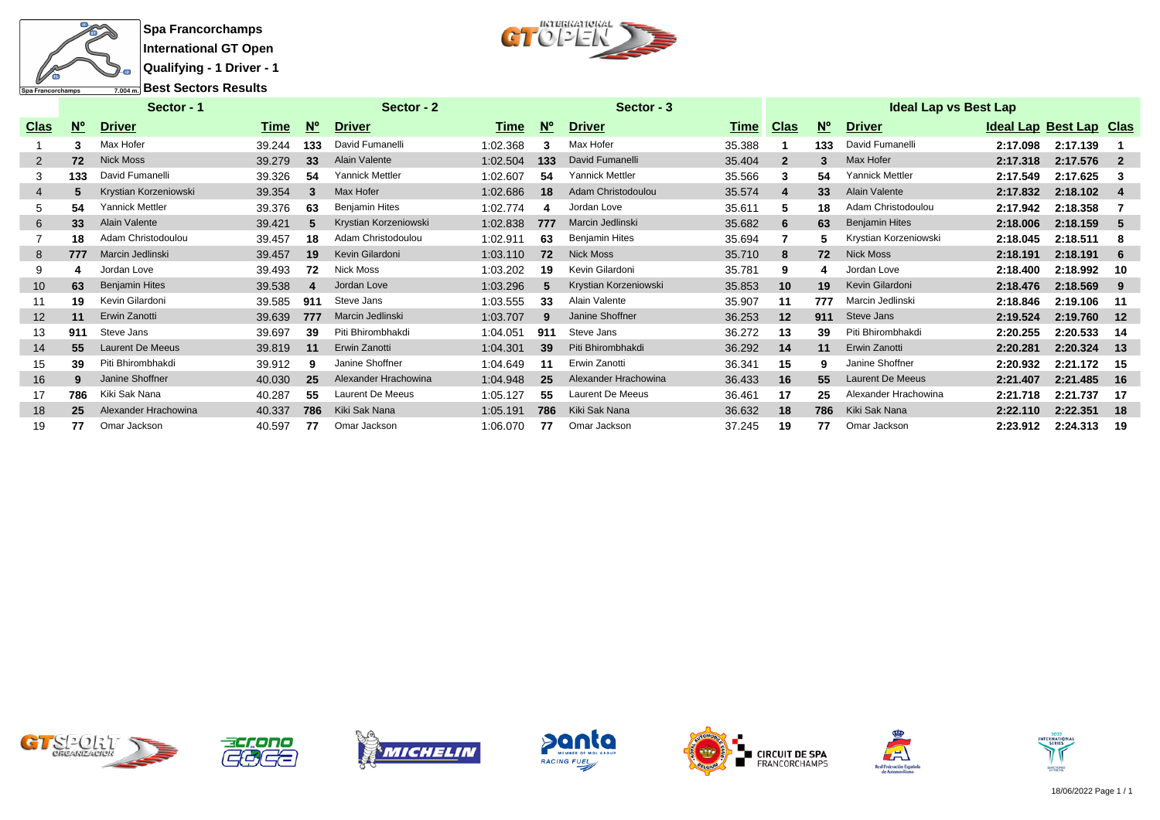



|                   |             | Sector - 1              |        |             | Sector - 2             |          |           | Sector - 3              |        |              |                         | <b>Ideal Lap vs Best Lap</b> |          |                         |       |
|-------------------|-------------|-------------------------|--------|-------------|------------------------|----------|-----------|-------------------------|--------|--------------|-------------------------|------------------------------|----------|-------------------------|-------|
| <u>Clas</u>       | $N^{\circ}$ | <b>Driver</b>           | Time   | $N^{\circ}$ | <b>Driver</b>          | Time     | <u>Nº</u> | <u>Driver</u>           | Time   | <u>Clas</u>  | $\underline{N}^{\circ}$ | <b>Driver</b>                |          | Ideal Lap Best Lap Clas |       |
|                   |             | Max Hofer               | 39.244 | 133         | David Fumanelli        | 1:02.368 | 3         | Max Hofer               | 35.388 |              | 133                     | David Fumanelli              | 2:17.098 | 2:17.139                |       |
| 2                 | 72          | <b>Nick Moss</b>        | 39.279 | 33          | Alain Valente          | 1:02.504 | 133       | David Fumanelli         | 35.404 | $\mathbf{2}$ | 3                       | Max Hofer                    | 2:17.318 | 2:17.576                |       |
| 3                 | 133         | David Fumanelli         | 39.326 | 54          | <b>Yannick Mettler</b> | 1:02.607 | 54        | <b>Yannick Mettler</b>  | 35.566 | 3            | 54                      | <b>Yannick Mettler</b>       | 2:17.549 | 2:17.625                | -3    |
| 4                 |             | Krystian Korzeniowski   | 39.354 |             | Max Hofer              | 1:02.686 | 18        | Adam Christodoulou      | 35.574 | 4            | 33                      | Alain Valente                | 2:17.832 | 2:18.102                | -4    |
| 5.                | 54          | Yannick Mettler         | 39.376 | 63          | <b>Beniamin Hites</b>  | 1:02.774 | 4         | Jordan Love             | 35.611 | 5.           | 18                      | Adam Christodoulou           | 2:17.942 | 2:18.358                |       |
| 6                 | 33          | Alain Valente           | 39.421 | 5           | Krystian Korzeniowski  | 1:02.838 | 777       | Marcin Jedlinski        | 35.682 | 6            | 63                      | <b>Benjamin Hites</b>        | 2:18.006 | 2:18.159                | -5    |
|                   | 18          | Adam Christodoulou      | 39.457 | 18          | Adam Christodoulou     | 1:02.911 | 63        | <b>Benjamin Hites</b>   | 35.694 |              |                         | Krystian Korzeniowski        | 2:18.045 | 2:18.511                | -8    |
| 8                 | 777         | Marcin Jedlinski        | 39.457 | 19          | Kevin Gilardoni        | 1:03.110 | 72        | <b>Nick Moss</b>        | 35.710 | 8            | 72                      | <b>Nick Moss</b>             | 2:18.191 | 2:18.191                | 6     |
| 9                 |             | Jordan Love             | 39.493 | 72          | <b>Nick Moss</b>       | 1:03.202 | 19        | Kevin Gilardoni         | 35.781 | 9            |                         | Jordan Love                  | 2:18.400 | 2:18.992                | 10    |
| 10 <sup>°</sup>   | 63          | <b>Benjamin Hites</b>   | 39.538 |             | Jordan Love            | 1:03.296 | 5         | Krystian Korzeniowski   | 35.853 | 10           | 19                      | Kevin Gilardoni              | 2:18.476 | 2:18.569                | -9    |
| 11                | 19          | Kevin Gilardoni         | 39.585 | 911         | Steve Jans             | 1:03.555 | 33        | Alain Valente           | 35.907 | 11           | 777                     | Marcin Jedlinski             | 2:18.846 | 2:19.106                | -11   |
| $12 \overline{ }$ | 11          | Erwin Zanotti           | 39.639 | 777         | Marcin Jedlinski       | 1:03.707 | 9         | Janine Shoffner         | 36.253 | 12           | 911                     | Steve Jans                   | 2:19.524 | 2:19.760                | 12    |
| 13                | 911         | Steve Jans              | 39.697 | 39          | Piti Bhirombhakdi      | 1:04.051 | 911       | Steve Jans              | 36.272 | 13           | 39                      | Piti Bhirombhakdi            | 2:20.255 | 2:20.533                | -14   |
| 14                | 55          | <b>Laurent De Meeus</b> | 39.819 | 11          | Erwin Zanotti          | 1:04.301 | 39        | Piti Bhirombhakdi       | 36.292 | 14           | 11                      | Erwin Zanotti                | 2:20.281 | 2:20.324                | $-13$ |
| 15                | 39          | Piti Bhirombhakdi       | 39.912 | 9           | Janine Shoffner        | 1:04.649 | 11        | Erwin Zanotti           | 36.341 | 15           |                         | Janine Shoffner              | 2:20.932 | 2:21.172                | - 15  |
| 16                |             | Janine Shoffner         | 40.030 | 25          | Alexander Hrachowina   | 1:04.948 | 25        | Alexander Hrachowina    | 36.433 | 16           | 55                      | <b>Laurent De Meeus</b>      | 2:21.407 | 2:21.485                | - 16  |
| 17                | 786         | Kiki Sak Nana           | 40.287 | 55          | Laurent De Meeus       | 1:05.127 | 55        | <b>Laurent De Meeus</b> | 36.461 | 17           | 25                      | Alexander Hrachowina         | 2:21.718 | 2:21.737                | -17   |
| 18                | 25          | Alexander Hrachowina    | 40.337 | 786         | Kiki Sak Nana          | 1:05.191 | 786       | Kiki Sak Nana           | 36.632 | 18           | 786                     | Kiki Sak Nana                | 2:22.110 | 2:22.351                | 18    |
| 19                | 77          | Omar Jackson            | 40.597 | 77          | Omar Jackson           | 1:06.070 | 77        | Omar Jackson            | 37.245 | 19           | 77                      | Omar Jackson                 | 2:23.912 | 2:24.313                | - 19  |













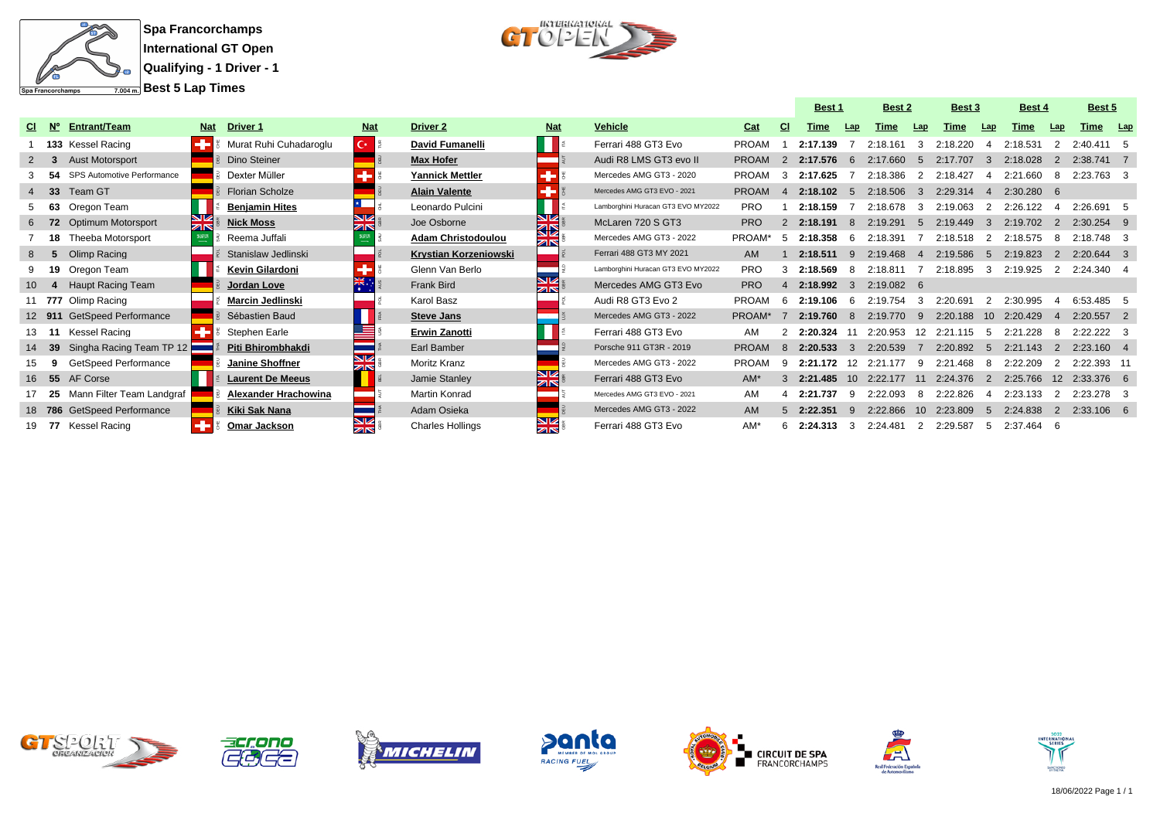



|             |                             |            |                         |                     |                           |                  |                                    |              |               | <b>Best 1</b> |              | <b>Best 2</b> |               | <b>Best 3</b> |               | Best 4      |                | <b>Best 5</b>      |  |
|-------------|-----------------------------|------------|-------------------------|---------------------|---------------------------|------------------|------------------------------------|--------------|---------------|---------------|--------------|---------------|---------------|---------------|---------------|-------------|----------------|--------------------|--|
| N°          | <b>Entrant/Team</b>         | <b>Nat</b> | <b>Driver 1</b>         | <b>Nat</b>          | <b>Driver 2</b>           | <b>Nat</b>       | <b>Vehicle</b>                     | Cat          | <b>CI</b>     | Time          | Lap          | Time          | Lap           | Time          | Lap           | Time        | Lap            | Time Lap           |  |
|             | 133 Kessel Racing           |            | Murat Ruhi Cuhadaroglu  | $C^*$ $\frac{8}{2}$ | <b>David Fumanelli</b>    |                  | Ferrari 488 GT3 Evo                | <b>PROAM</b> |               | 2:17.139      |              | 2:18.161      |               | 2:18.220      |               | 2:18.531    |                | $2.40411$ 5        |  |
|             | <b>Aust Motorsport</b>      |            | Dino Steiner            |                     | <b>Max Hofer</b>          |                  | Audi R8 LMS GT3 evo II             | <b>PROAM</b> | 2             | $2:17.576$ 6  |              | 2:17.660      |               | 2:17.707      | $\mathcal{A}$ | 2:18.028    | 2              | 2:38.741 7         |  |
| 54          | SPS Automotive Performance  |            | Dexter Müller           |                     | <b>Yannick Mettler</b>    |                  | Mercedes AMG GT3 - 2020            | <b>PROAM</b> | $\mathcal{B}$ | 2:17.625      |              | 2:18.386      | $\mathcal{P}$ | 2:18.427      | 4             | 2:21.660    | 8              | 2:23.763 3         |  |
| $4\quad 33$ | Team GT                     |            | <b>Florian Scholze</b>  |                     | <b>Alain Valente</b>      |                  | Mercedes AMG GT3 EVO - 2021        | <b>PROAM</b> | $\mathbf{A}$  | $2:18.102$ 5  |              | 2:18.506      | $\mathbf{3}$  | 2:29.314      | $-4$          | 2:30.280 6  |                |                    |  |
| 63          | Oregon Team                 |            | <b>Benjamin Hites</b>   |                     | Leonardo Pulcini          |                  | Lamborghini Huracan GT3 EVO MY2022 | <b>PRO</b>   |               | 2:18.159      |              | 2:18.678      | $\mathbf{3}$  | 2:19.063      | 2             | 2:26.122    | 4              | 2:26.691 5         |  |
|             | Optimum Motorsport          | XR         | <b>Nick Moss</b>        | ZK                  | Joe Osborne               | ڀ⊠               | McLaren 720 S GT3                  | <b>PRO</b>   |               | 2:18.191      | 8            | 2:19.291      | 5             | 2:19.449      | $\mathbf{B}$  | 2:19.702    | 2              | $2:30.254$ 9       |  |
|             | <b>18</b> Theeba Motorsport |            | Reema Juffali           |                     | <b>Adam Christodoulou</b> | <b>KIR</b>       | Mercedes AMG GT3 - 2022            | PROAM*       | -5            | 2:18.358      | - 6          | 2:18.391      |               | 2:18.518      | -2            | 2:18.575    | -8             | 2:18.748 3         |  |
| - 5         | Olimp Racing                |            | Stanislaw Jedlinski     |                     | Krystian Korzeniowski     |                  | Ferrari 488 GT3 MY 2021            | AM           |               | 2:18.511      | -9           | 2:19.468      | $\mathbf{A}$  | 2:19.586      | $-5$          | 2:19.823    | 2              | $2:20.644$ 3       |  |
|             | 19 Oregon Team              |            | Kevin Gilardoni         |                     | Glenn Van Berlo           |                  | Lamborghini Huracan GT3 EVO MY2022 | <b>PRO</b>   | 3             | 2:18.569      | -8           | 2:18.811      |               | 2:18.895      | -3            | 2:19.925    | $\overline{2}$ | $2:24.340 \quad 4$ |  |
|             | <b>Haupt Racing Team</b>    |            | Jordan Love             | 米                   | <b>Frank Bird</b>         | ≌ছ               | Mercedes AMG GT3 Evo               | <b>PRO</b>   | 4             | 2:18.992      | $\mathbf{3}$ | $2:19.082$ 6  |               |               |               |             |                |                    |  |
|             | 11 777 Olimp Racing         |            | <b>Marcin Jedlinski</b> |                     | Karol Basz                |                  | Audi R8 GT3 Evo 2                  | <b>PROAM</b> | 6             | $2:19.106$ 6  |              | 2:19.754      |               | 2:20.691      |               | 2:30.995    | $\mathbf{A}$   | 6:53.485 5         |  |
| 12 911      | <b>GetSpeed Performance</b> |            | Sébastien Baud          |                     | <b>Steve Jans</b>         |                  | Mercedes AMG GT3 - 2022            | PROAM*       |               | 2:19.760      | -8           | 2:19.770      | 9             | 2:20.188      |               | 10 2:20.429 | $\overline{4}$ | $2:20.557$ 2       |  |
| 13 11       | Kessel Racing               |            | Stephen Earle           |                     | <b>Erwin Zanotti</b>      |                  | Ferrari 488 GT3 Evo                | AM           |               | 2:20.324      |              | 2:20.953      | 12            | 2:21.115      | - 5           | 2:21.228    | 8              | $2:22.222 \quad 3$ |  |
| 39          | Singha Racing Team TP 12    |            | Piti Bhirombhakdi       |                     | <b>Earl Bamber</b>        |                  | Porsche 911 GT3R - 2019            | <b>PROAM</b> | 8             | 2:20.533      |              | 2:20.539      |               | 2:20.892      | .5            | 2:21.143    | -2             | $2:23.160$ 4       |  |
| -9          | GetSpeed Performance        |            | Janine Shoffner         |                     | <b>Moritz Kranz</b>       |                  | Mercedes AMG GT3 - 2022            | <b>PROAM</b> | 9             | 2:21.172      | 12           | $2.21$ 177    |               | 2:21.468      | -8            | 2:22.209    | 2              | 2:22.393 11        |  |
|             | 16 55 AF Corse              |            | <b>Laurent De Meeus</b> |                     | Jamie Stanley             | <u>স</u> ≼       | Ferrari 488 GT3 Evo                | $AM^*$       | $\mathcal{R}$ | 2:21.485      | $10^{-}$     | 2:22.177      | 11            | 2:24.376      | 2             | 2:25.766    | 12             | 2:33.376 6         |  |
| 25          | Mann Filter Team Landgraf   |            | Alexander Hrachowina    |                     | <b>Martin Konrad</b>      |                  | Mercedes AMG GT3 EVO - 2021        | AM           |               | 2:21.737      | -9           | 2:22.093      |               | 2:22.826      | $\mathbf 4$   | 2:23.133    | 2              | 2:23.278 3         |  |
|             | 18 786 GetSpeed Performance |            | Kiki Sak Nana           |                     | Adam Osieka               |                  | Mercedes AMG GT3 - 2022            | <b>AM</b>    | $5 -$         | 2:22.351      | $\mathbf{q}$ | 2:22.866      | $10^{-}$      | 2:23.809      | .5            | 2:24.838    |                | 2 2:33.106 6       |  |
| 19 77       | Kessel Racing               |            | <b>Omar Jackson</b>     | <b>ZIN</b>          | <b>Charles Hollings</b>   | VZ<br><b>ZIN</b> | Ferrari 488 GT3 Evo                | AM*          | 6             | 2:24.313      | -3           | 2:24.481      |               | 2:29.587      | $\mathbf b$   | 2:37.464    | - 6            |                    |  |















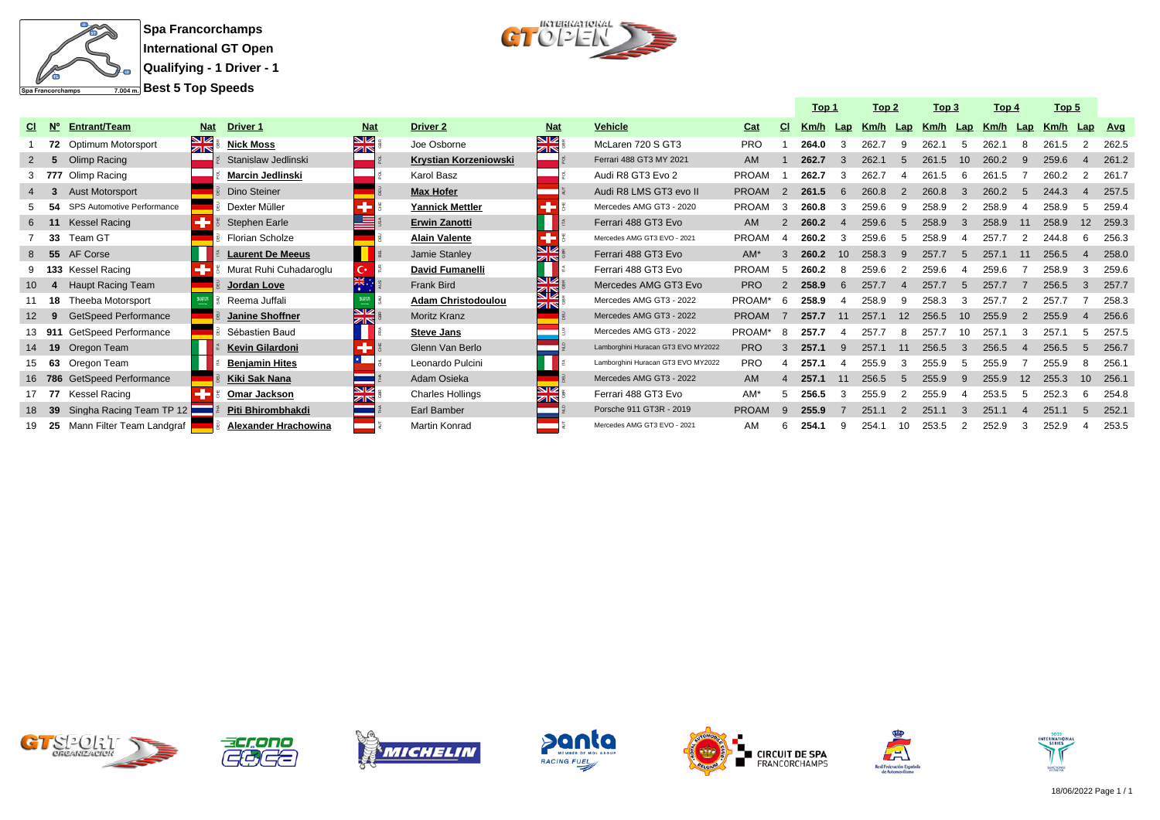



|                 |                             |            |                         |            |                           |                  |                                    |              |    | Top 1    |    | Top 2 |             | Top 3 |                 | Top 4 |                   | Top 5 |     |            |
|-----------------|-----------------------------|------------|-------------------------|------------|---------------------------|------------------|------------------------------------|--------------|----|----------|----|-------|-------------|-------|-----------------|-------|-------------------|-------|-----|------------|
| $N^{\circ}$     | <b>Entrant/Team</b>         | <b>Nat</b> | <b>Driver 1</b>         | <b>Nat</b> | <b>Driver 2</b>           | <b>Nat</b>       | Vehicle                            | Cat          | СI | Km/h Lap |    | Km/h  | Lap         | Km/h  | Lap             | Km/h  | Lap               | Km/h  | Lap | <b>Avg</b> |
|                 | 72 Optimum Motorsport       | <b>NK</b>  | <b>Nick Moss</b>        | NK<br>AR   | Joe Osborne               | ম<br>সাহ         | McLaren 720 S GT3                  | <b>PRO</b>   |    | 264.0    |    | 262.7 | q           | 262.1 |                 | 262.1 |                   | 261.5 |     | 262.5      |
|                 | Olimp Racing                |            | Stanislaw Jedlinski     |            | Krystian Korzeniowski     |                  | Ferrari 488 GT3 MY 2021            | <b>AM</b>    |    | 262.7    |    | 262.1 | 5           | 261.5 | 10              | 260.2 |                   | 259.6 |     | 261.2      |
|                 | 3 777 Olimp Racing          |            | <b>Marcin Jedlinski</b> |            | Karol Basz                |                  | Audi R8 GT3 Evo 2                  | <b>PROAM</b> |    | 262.7    |    | 262.7 |             | 261.5 |                 | 261.5 |                   | 260.2 |     | 261.7      |
|                 | <b>Aust Motorsport</b>      |            | Dino Steiner            |            | <b>Max Hofer</b>          |                  | Audi R8 LMS GT3 evo II             | <b>PROAM</b> | 2  | 261.5    |    | 260.8 |             | 260.8 |                 | 260.2 |                   | 244.3 |     | 257.5      |
|                 | SPS Automotive Performance  |            | Dexter Müller           |            | <b>Yannick Mettler</b>    |                  | Mercedes AMG GT3 - 2020            | <b>PROAM</b> |    | 260.8    |    | 259.6 | q           | 258.9 |                 | 258.9 |                   | 258.9 |     | 259.4      |
|                 | <b>Kessel Racing</b>        |            | Stephen Earle           |            | <b>Erwin Zanotti</b>      |                  | Ferrari 488 GT3 Evo                | <b>AM</b>    |    | 260.2    |    | 259.6 | 5           | 258.9 |                 | 258.9 |                   | 258.9 |     | 259.3      |
| 33              | Team GT                     |            | Florian Scholze         |            | <b>Alain Valente</b>      | ٠                | Mercedes AMG GT3 EVO - 2021        | <b>PROAM</b> |    | 260.2    |    | 259.6 |             | 258.9 |                 | 257.7 |                   | 244.8 |     | 256.3      |
| 8 <sub>55</sub> | AF Corse                    |            | <b>Laurent De Meeus</b> |            | Jamie Stanley             | N<br>ZIN         | Ferrari 488 GT3 Evo                | $AM^*$       | 3  | 260.2    | 10 | 258.3 | 9           | 257.7 | .5              | 257.1 |                   | 256.5 |     | 258.0      |
|                 | 9 133 Kessel Racing         |            | Murat Ruhi Cuhadaroqlu  | C*.        | David Fumanelli           |                  | Ferrari 488 GT3 Evo                | <b>PROAM</b> | 5  | 260.2    |    | 259.6 |             | 259.6 |                 | 259.6 |                   | 258.9 |     | 259.6      |
|                 | <b>Haupt Racing Team</b>    |            | Jordan Love             | 米.         | <b>Frank Bird</b>         | NZ<br>ৱচ         | Mercedes AMG GT3 Evo               | <b>PRO</b>   |    | 258.9    |    | 257.7 |             | 257.7 |                 | 257.7 |                   | 256.5 |     | 257.7      |
| 18              | Theeba Motorsport           |            | Reema Juffali           |            | <b>Adam Christodoulou</b> | <b>ZIN</b>       | Mercedes AMG GT3 - 2022            | PROAM*       | 6  | 258.9    |    | 258.9 | 9           | 258.3 |                 | 257.7 |                   | 257.7 |     | 258.       |
| -9              | <b>GetSpeed Performance</b> |            | Janine Shoffner         | ZK         | <b>Moritz Kranz</b>       |                  | Mercedes AMG GT3 - 2022            | <b>PROAM</b> | -7 | 257.7    | 11 | 257.1 | 12          | 256.5 | 10 <sup>1</sup> | 255.9 |                   | 255.9 |     | 256.6      |
| 13 911          | GetSpeed Performance        |            | Sébastien Baud          |            | <b>Steve Jans</b>         |                  | Mercedes AMG GT3 - 2022            | PROAM*       | 8  | 257.7    |    | 257.7 | 8           | 257.7 | 10              | 257.1 |                   | 257.7 |     | 257.5      |
|                 | 14 19 Oregon Team           |            | Kevin Gilardoni         |            | Glenn Van Berlo           |                  | Lamborghini Huracan GT3 EVO MY2022 | <b>PRO</b>   |    | 257.1    |    | 257.1 |             | 256.5 |                 | 256.5 |                   | 256.5 |     | 256.7      |
| 63              | Oregon Team                 |            | <b>Benjamin Hites</b>   |            | Leonardo Pulcini          |                  | Lamborghini Huracan GT3 EVO MY2022 | <b>PRO</b>   |    | 257.1    |    | 255.9 |             | 255.9 |                 | 255.9 |                   | 255.9 |     | 256.       |
|                 | 16 786 GetSpeed Performance |            | Kiki Sak Nana           |            | Adam Osieka               |                  | Mercedes AMG GT3 - 2022            | <b>AM</b>    |    | 257.1    | 11 | 256.5 | $5^{\circ}$ | 255.9 | <b>q</b>        | 255.9 | $12 \overline{ }$ | 255.3 | 10  | 256.1      |
| 17 77           | Kessel Racing               |            | Omar Jackson            | ZK         | <b>Charles Hollings</b>   | VK<br><b>ZIN</b> | Ferrari 488 GT3 Evo                | $AM^*$       |    | 256.5    |    | 255.9 |             | 255.9 |                 | 253.5 |                   | 252.3 |     | 254.8      |
| 39              | Singha Racing Team TP 12    |            | Piti Bhirombhakdi       |            | Earl Bamber               |                  | Porsche 911 GT3R - 2019            | <b>PROAM</b> | q  | 255.9    |    | 251.1 |             | 251.1 |                 | 251.1 |                   | 251.1 |     | 252.7      |
| - 25            | Mann Filter Team Landgraf   |            | Alexander Hrachowina    |            | <b>Martin Konrad</b>      |                  | Mercedes AMG GT3 EVO - 2021        | AM           | ĥ  | 254.1    |    | 254.  |             | 253.5 |                 | 252.9 | 3                 | 252.9 |     | 253.5      |













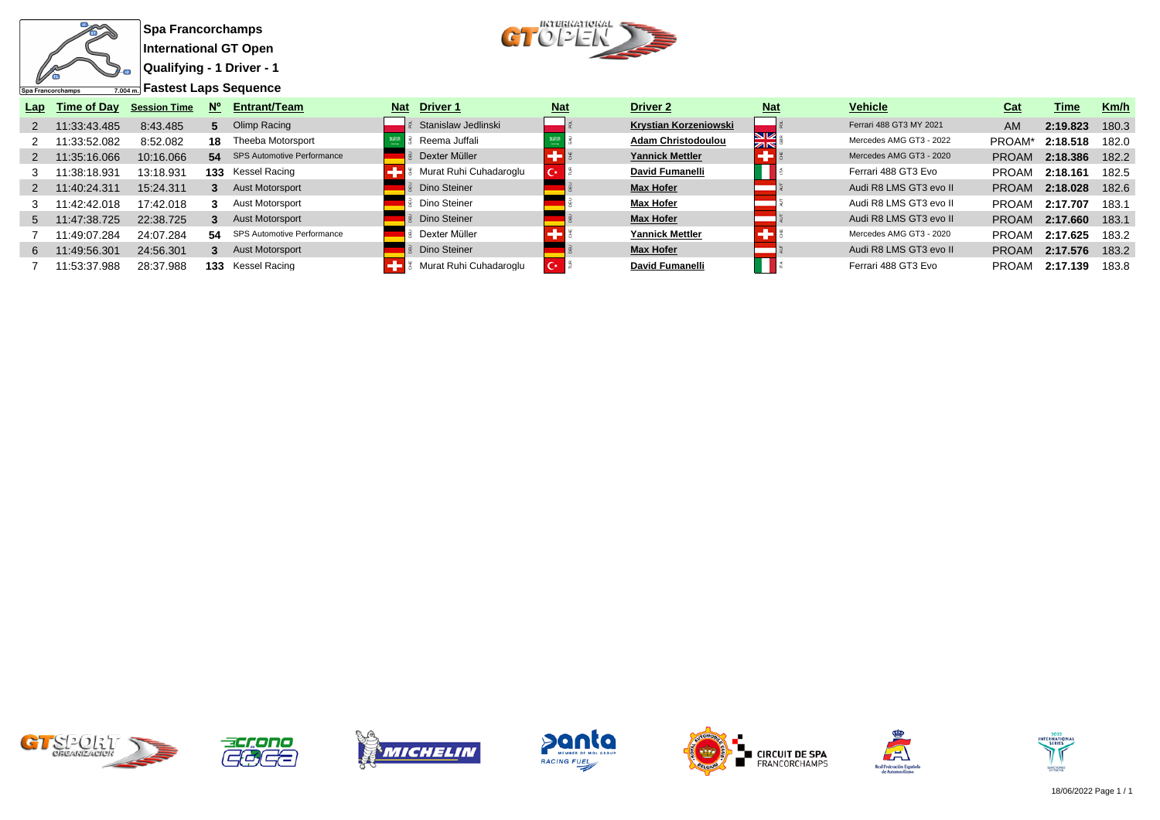

 $CT$ <sup>*ucreakariokal*</sup>

| Lap | Time of Day  | <b>Session Time</b> | N° | <b>Entrant/Team</b>           | <b>Nat</b> | <b>Driver 1</b>        | <b>Nat</b> | Driver <sub>2</sub>       | <b>Nat</b> | <b>Vehicle</b>          | Cat          | Time     | Km/h  |
|-----|--------------|---------------------|----|-------------------------------|------------|------------------------|------------|---------------------------|------------|-------------------------|--------------|----------|-------|
|     | 11:33:43.485 | 8:43.485            | 5. | Olimp Racing                  |            | Stanislaw Jedlinski    |            | Krystian Korzeniowski     |            | Ferrari 488 GT3 MY 2021 | <b>AM</b>    | 2:19.823 | 180.3 |
|     | 11:33:52.082 | 8:52.082            | 18 | Theeba Motorsport             |            | Reema Juffali          |            | <b>Adam Christodoulou</b> | VZ<br>ZK   | Mercedes AMG GT3 - 2022 | <b>PROAM</b> | 2:18.518 | 182.0 |
|     | 11:35:16.066 | 10:16.066           |    | 54 SPS Automotive Performance |            | Dexter Müller          |            | <b>Yannick Mettler</b>    |            | Mercedes AMG GT3 - 2020 | <b>PROAM</b> | 2:18.386 | 182.2 |
|     | 11:38:18.931 | 13:18.931           |    | <b>133</b> Kessel Racing      |            | Murat Ruhi Cuhadaroglu | Cx.        | David Fumanelli           |            | Ferrari 488 GT3 Evo     | <b>PROAM</b> | 2:18.161 | 182.5 |
|     | 1:40:24.311  | 15:24.311           |    | Aust Motorsport               |            | Dino Steiner           |            | <b>Max Hofer</b>          |            | Audi R8 LMS GT3 evo II  | <b>PROAM</b> | 2:18.028 | 182.6 |
|     | 1:42:42.018  | 17:42.018           |    | Aust Motorsport               |            | Dino Steiner           |            | <b>Max Hofer</b>          |            | Audi R8 LMS GT3 evo II  | <b>PROAM</b> | 2:17.707 | 183.1 |
| 5   | 11:47:38.725 | 22:38.725           |    | <b>Aust Motorsport</b>        |            | Dino Steiner           |            | <b>Max Hofer</b>          |            | Audi R8 LMS GT3 evo II  | <b>PROAM</b> | 2:17.660 | 183.1 |
|     | 1:49:07.284  | 24:07.284           | 54 | SPS Automotive Performance    |            | Dexter Müller          |            | <b>Yannick Mettler</b>    |            | Mercedes AMG GT3 - 2020 | <b>PROAM</b> | 2:17.625 | 183.2 |
| 6.  | 1:49:56.301  | 24:56.301           |    | <b>Aust Motorsport</b>        |            | Dino Steiner           |            | <b>Max Hofer</b>          |            | Audi R8 LMS GT3 evo II  | <b>PROAM</b> | 2:17.576 | 183.2 |
|     | 11:53:37.988 | 28:37.988           |    | 133 Kessel Racing             |            | Murat Ruhi Cuhadaroglu | $\sim$     | <b>David Fumanelli</b>    |            | Ferrari 488 GT3 Evo     | <b>PROAM</b> | 2:17.139 | 183.8 |















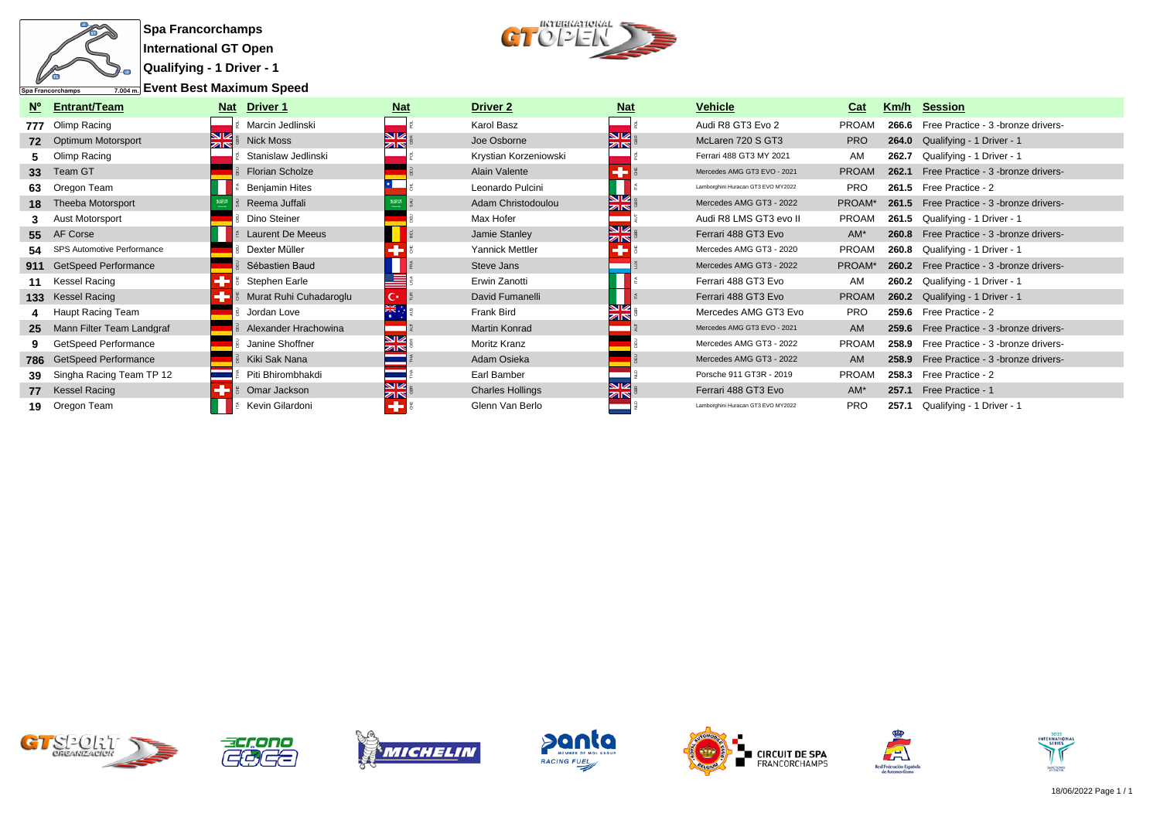

**Qualifying - 1 Driver - 1**

**Event Best Maximum Speed**



| $N^{\circ}$     | <b>Entrant/Team</b>           | <b>Nat</b>    | Driver 1                | <u>Nat</u>                              | Driver 2                | <u>Nat</u>                                    | <b>Vehicle</b>                     | Cat          | Km/h  | <b>Session</b>                                   |
|-----------------|-------------------------------|---------------|-------------------------|-----------------------------------------|-------------------------|-----------------------------------------------|------------------------------------|--------------|-------|--------------------------------------------------|
|                 | 777 Olimp Racing              |               | Marcin Jedlinski        |                                         | Karol Basz              |                                               | Audi R8 GT3 Evo 2                  | <b>PROAM</b> | 266.6 | Free Practice - 3 -bronze drivers-               |
|                 | 72 Optimum Motorsport         | $\frac{N}{Z}$ | <b>Nick Moss</b>        | NZ<br>$\overline{\mathbb{Z}}\mathbb{R}$ | Joe Osborne             | <b>N</b><br>$\overline{\mathbb{Z}}\mathbb{R}$ | McLaren 720 S GT3                  | <b>PRO</b>   |       | 264.0 Qualifying - 1 Driver - 1                  |
|                 | Olimp Racing                  |               | Stanislaw Jedlinski     |                                         | Krystian Korzeniowski   |                                               | Ferrari 488 GT3 MY 2021            | AM           | 262.7 | Qualifying - 1 Driver - 1                        |
| 33 <sup>°</sup> | Team GT                       |               | <b>Florian Scholze</b>  |                                         | Alain Valente           |                                               | Mercedes AMG GT3 EVO - 2021        | <b>PROAM</b> | 262.1 | Free Practice - 3 -bronze drivers-               |
| 63              | Oregon Team                   |               | <b>Benjamin Hites</b>   |                                         | Leonardo Pulcini        |                                               | Lamborghini Huracan GT3 EVO MY2022 | <b>PRO</b>   | 261.5 | Free Practice - 2                                |
|                 | 18 Theeba Motorsport          |               | Reema Juffali           |                                         | Adam Christodoulou      | NØ<br>ZK                                      | Mercedes AMG GT3 - 2022            | PROAM*       |       | 261.5 Free Practice - 3 -bronze drivers-         |
|                 | Aust Motorsport               |               | Dino Steiner            |                                         | Max Hofer               |                                               | Audi R8 LMS GT3 evo II             | <b>PROAM</b> |       | 261.5 Qualifying - 1 Driver - 1                  |
|                 | 55 AF Corse                   |               | <b>Laurent De Meeus</b> |                                         | Jamie Stanley           | NØ<br>ZK                                      | Ferrari 488 GT3 Evo                | $AM^*$       |       | <b>260.8</b> Free Practice - 3 - bronze drivers- |
|                 | 54 SPS Automotive Performance |               | Dexter Müller           |                                         | Yannick Mettler         |                                               | Mercedes AMG GT3 - 2020            | <b>PROAM</b> |       | 260.8 Qualifying - 1 Driver - 1                  |
|                 | 911 GetSpeed Performance      |               | Sébastien Baud          |                                         | Steve Jans              |                                               | Mercedes AMG GT3 - 2022            | PROAM*       |       | 260.2 Free Practice - 3 -bronze drivers-         |
|                 | 11 Kessel Racing              |               | Stephen Earle           |                                         | Erwin Zanotti           |                                               | Ferrari 488 GT3 Evo                | AM           |       | 260.2 Qualifying - 1 Driver - 1                  |
|                 | 133 Kessel Racing             |               | Murat Ruhi Cuhadaroglu  | <b>C</b> *                              | David Fumanelli         |                                               | Ferrari 488 GT3 Evo                | <b>PROAM</b> |       | 260.2 Qualifying - 1 Driver - 1                  |
|                 | 4 Haupt Racing Team           |               | Jordan Love             |                                         | Frank Bird              |                                               | Mercedes AMG GT3 Evo               | <b>PRO</b>   |       | 259.6 Free Practice - 2                          |
|                 | 25 Mann Filter Team Landgraf  |               | Alexander Hrachowina    |                                         | <b>Martin Konrad</b>    |                                               | Mercedes AMG GT3 EVO - 2021        | AM           |       | 259.6 Free Practice - 3 - bronze drivers-        |
|                 | GetSpeed Performance          |               | Janine Shoffner         | <b>SIZ</b>                              | Moritz Kranz            |                                               | Mercedes AMG GT3 - 2022            | <b>PROAM</b> | 258.9 | Free Practice - 3 -bronze drivers-               |
|                 | 786 GetSpeed Performance      |               | Kiki Sak Nana           |                                         | Adam Osieka             |                                               | Mercedes AMG GT3 - 2022            | <b>AM</b>    | 258.9 | Free Practice - 3 -bronze drivers-               |
|                 | Singha Racing Team TP 12      |               | Piti Bhirombhakdi       |                                         | Earl Bamber             |                                               | Porsche 911 GT3R - 2019            | <b>PROAM</b> | 258.3 | Free Practice - 2                                |
|                 | 77 Kessel Racing              |               | Omar Jackson            | $\frac{N}{2N}$                          | <b>Charles Hollings</b> | <b>SIZ</b><br>ZK                              | Ferrari 488 GT3 Evo                | AM*          | 257.1 | Free Practice - 1                                |
|                 | 19 Oregon Team                |               | Kevin Gilardoni         |                                         | Glenn Van Berlo         |                                               | Lamborghini Huracan GT3 EVO MY2022 | <b>PRO</b>   | 257.1 | Qualifying - 1 Driver - 1                        |













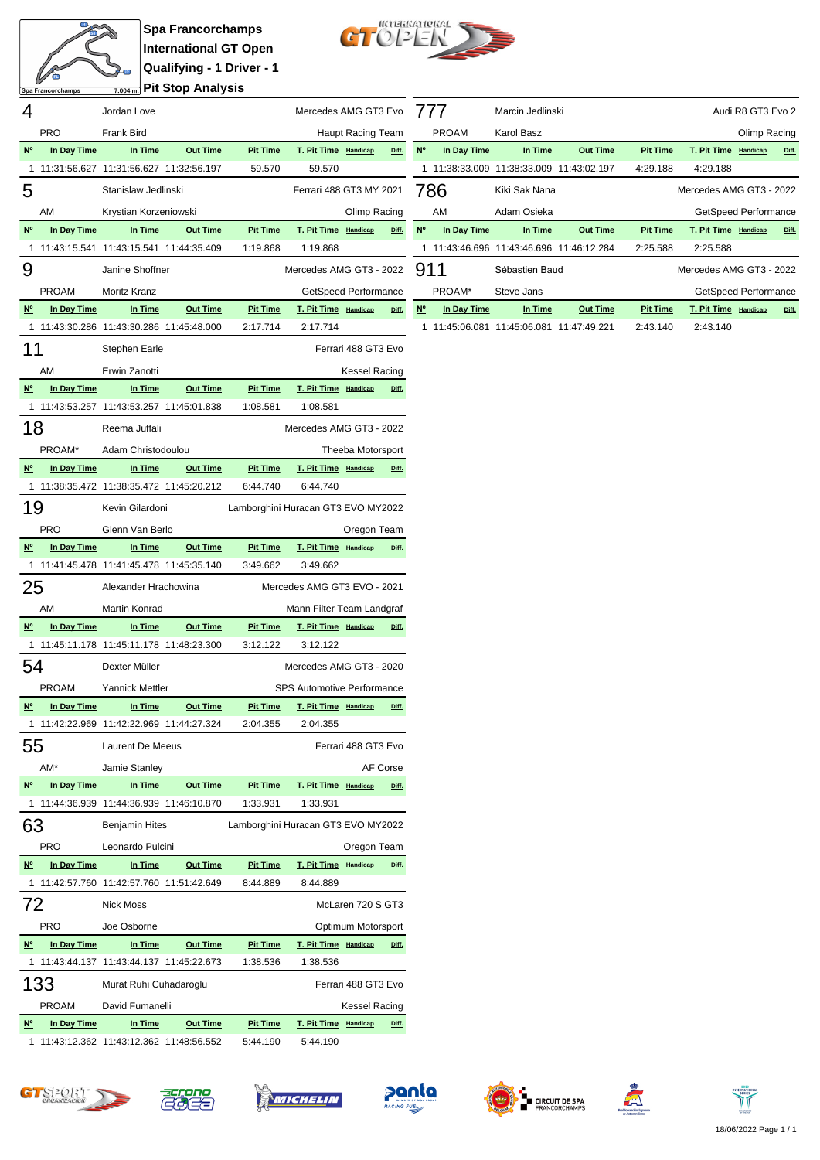

**Spa Francorchamps International GT Open Qualifying - 1 Driver - 1 Pit Stop Analysis**



|                                       | Spa Francorchamps |                                                   | $_{7.004\,\text{m.}}$ PIL SLUP Analysis |                             |                                    |                     |          |             |
|---------------------------------------|-------------------|---------------------------------------------------|-----------------------------------------|-----------------------------|------------------------------------|---------------------|----------|-------------|
| 4                                     |                   | Jordan Love                                       |                                         |                             | Mercedes AMG GT3 Evo               |                     |          | $\prime$    |
|                                       | <b>PRO</b>        | <b>Frank Bird</b>                                 |                                         |                             |                                    | Haupt Racing Team   |          |             |
| N <sup>o</sup>                        | In Day Time       | In Time                                           | <b>Out Time</b>                         | <b>Pit Time</b>             | T. Pit Time Handicap               |                     | Diff.    | <u>N°</u>   |
| 1                                     |                   | 11:31:56.627 11:31:56.627 11:32:56.197            |                                         | 59.570                      | 59.570                             |                     |          | 1           |
| 5                                     |                   | Stanislaw Jedlinski                               |                                         |                             | Ferrari 488 GT3 MY 2021            |                     |          | 78          |
|                                       | AM                | Krystian Korzeniowski                             |                                         |                             |                                    | Olimp Racing        |          |             |
| N <sup>o</sup>                        | In Day Time       | In Time                                           | <b>Out Time</b>                         | <b>Pit Time</b>             | T. Pit Time Handicap               |                     | Diff.    | $Ne$        |
| 1                                     |                   | 11:43:15.541  11:43:15.541  11:44:35.409          |                                         | 1:19.868                    | 1:19.868                           |                     |          | 1           |
| 9                                     |                   | Janine Shoffner                                   |                                         |                             | Mercedes AMG GT3 - 2022            |                     |          | 91          |
|                                       | <b>PROAM</b>      | Moritz Kranz                                      |                                         |                             | GetSpeed Performance               |                     |          |             |
| N <sup>o</sup>                        | In Day Time       | In Time                                           | <b>Out Time</b>                         | <b>Pit Time</b>             | T. Pit Time Handicap               |                     | Diff.    | $N^{\circ}$ |
| 1                                     |                   | 11:43:30.286 11:43:30.286 11:45:48.000            |                                         | 2:17.714                    | 2:17.714                           |                     |          | 1           |
| 11                                    |                   |                                                   |                                         |                             |                                    | Ferrari 488 GT3 Evo |          |             |
|                                       |                   | Stephen Earle                                     |                                         |                             |                                    |                     |          |             |
|                                       | AM                | Erwin Zanotti                                     |                                         |                             |                                    | Kessel Racing       |          |             |
| $N^{\circ}$                           | In Day Time       | In Time                                           | <b>Out Time</b>                         | <b>Pit Time</b>             | T. Pit Time Handicap               |                     | Diff.    |             |
| 1                                     |                   | 11:43:53.257 11:43:53.257 11:45:01.838            |                                         | 1:08.581                    | 1:08.581                           |                     |          |             |
| 18                                    |                   | Reema Juffali                                     |                                         |                             | Mercedes AMG GT3 - 2022            |                     |          |             |
|                                       | PROAM*            | Adam Christodoulou                                |                                         |                             |                                    | Theeba Motorsport   |          |             |
| N <sup>o</sup>                        | In Day Time       | In Time                                           | <b>Out Time</b>                         | <b>Pit Time</b>             | T. Pit Time Handicap               |                     | Diff.    |             |
| 1                                     |                   | 11:38:35.472  11:38:35.472  11:45:20.212          |                                         | 6:44.740                    | 6:44.740                           |                     |          |             |
| 19                                    |                   | Kevin Gilardoni                                   |                                         |                             | Lamborghini Huracan GT3 EVO MY2022 |                     |          |             |
|                                       | <b>PRO</b>        | Glenn Van Berlo                                   |                                         |                             |                                    | Oregon Team         |          |             |
| N°                                    | In Day Time       | In Time                                           | <b>Out Time</b>                         | <b>Pit Time</b>             | T. Pit Time Handicap               |                     | Diff.    |             |
| 1                                     |                   | 11:41:45.478 11:41:45.478 11:45:35.140            |                                         | 3:49.662                    | 3:49.662                           |                     |          |             |
| 25                                    |                   | Alexander Hrachowina                              |                                         |                             | Mercedes AMG GT3 EVO - 2021        |                     |          |             |
|                                       |                   |                                                   |                                         |                             |                                    |                     |          |             |
|                                       | AM                | Martin Konrad                                     |                                         |                             | Mann Filter Team Landgraf          |                     | Diff.    |             |
| N <sup>o</sup>                        | In Day Time       | In Time<br>11:45:11.178 11:45:11.178 11:48:23.300 | <b>Out Time</b>                         | <b>Pit Time</b><br>3:12.122 | T. Pit Time Handicap<br>3:12.122   |                     |          |             |
|                                       |                   |                                                   |                                         |                             |                                    |                     |          |             |
| 54                                    |                   | Dexter Müller                                     |                                         |                             | Mercedes AMG GT3 - 2020            |                     |          |             |
|                                       | <b>PROAM</b>      | <b>Yannick Mettler</b>                            |                                         |                             | <b>SPS Automotive Performance</b>  |                     |          |             |
| $\underline{\mathsf{N}^{\mathsf{o}}}$ | In Day Time       | In Time                                           | <b>Out Time</b>                         | <b>Pit Time</b>             | T. Pit Time Handicap               |                     | Diff.    |             |
| 1                                     |                   | 11:42:22.969 11:42:22.969 11:44:27.324            |                                         | 2:04.355                    | 2:04.355                           |                     |          |             |
| 55                                    |                   | <b>Laurent De Meeus</b>                           |                                         |                             |                                    | Ferrari 488 GT3 Evo |          |             |
|                                       | AM*               | Jamie Stanley                                     |                                         |                             |                                    |                     | AF Corse |             |
| $N^{\circ}$                           | In Day Time       | In Time                                           | <b>Out Time</b>                         | <b>Pit Time</b>             | T. Pit Time Handicap               |                     | Diff.    |             |
| 1                                     |                   | 11:44:36.939 11:44:36.939 11:46:10.870            |                                         | 1:33.931                    | 1:33.931                           |                     |          |             |
| 63                                    |                   | <b>Benjamin Hites</b>                             |                                         |                             | Lamborghini Huracan GT3 EVO MY2022 |                     |          |             |
|                                       | <b>PRO</b>        | Leonardo Pulcini                                  |                                         |                             |                                    | Oregon Team         |          |             |
| N <sup>o</sup>                        | In Day Time       | In Time                                           | <b>Out Time</b>                         | <b>Pit Time</b>             | T. Pit Time Handicap               |                     | Diff.    |             |
| 1                                     |                   | 11:42:57.760 11:42:57.760 11:51:42.649            |                                         | 8:44.889                    | 8:44.889                           |                     |          |             |
| 72                                    |                   | <b>Nick Moss</b>                                  |                                         |                             |                                    | McLaren 720 S GT3   |          |             |
|                                       | <b>PRO</b>        | Joe Osborne                                       |                                         |                             |                                    | Optimum Motorsport  |          |             |
| $N^{\circ}$                           | In Day Time       | <u>In Time</u>                                    | <b>Out Time</b>                         | <b>Pit Time</b>             | T. Pit Time Handicap               |                     | Diff.    |             |
| 1                                     |                   | 11:43:44.137 11:43:44.137 11:45:22.673            |                                         | 1:38.536                    | 1:38.536                           |                     |          |             |
|                                       | 133               | Murat Ruhi Cuhadaroglu                            |                                         |                             |                                    | Ferrari 488 GT3 Evo |          |             |
|                                       |                   |                                                   |                                         |                             |                                    |                     |          |             |
|                                       | <b>PROAM</b>      | David Fumanelli                                   |                                         |                             |                                    | Kessel Racing       |          |             |
| N <sup>o</sup>                        | In Day Time       | In Time                                           | <b>Out Time</b>                         | <b>Pit Time</b>             | T. Pit Time Handicap               |                     | Diff.    |             |
| 1                                     |                   | 11:43:12.362 11:43:12.362 11:48:56.552            |                                         | 5:44.190                    | 5:44.190                           |                     |          |             |

|           | 777          | Marcin Jedlinski                       |                 |                 |                         | Audi R8 GT3 Evo 2 |       |
|-----------|--------------|----------------------------------------|-----------------|-----------------|-------------------------|-------------------|-------|
|           | <b>PROAM</b> | Karol Basz                             |                 |                 |                         | Olimp Racing      |       |
| <b>N°</b> | In Day Time  | In Time                                | <b>Out Time</b> | <b>Pit Time</b> | T. Pit Time             | Handicap          | Diff. |
| 1.        |              | 11:38:33.009 11:38:33.009 11:43:02.197 |                 | 4:29.188        | 4:29.188                |                   |       |
|           | 786          | Kiki Sak Nana                          |                 |                 | Mercedes AMG GT3 - 2022 |                   |       |
|           | AM           | Adam Osieka                            |                 |                 | GetSpeed Performance    |                   |       |
| <b>N°</b> | In Day Time  | In Time                                | <b>Out Time</b> | <b>Pit Time</b> | T. Pit Time             | Handicap          | Diff. |
| 1.        |              | 11:43:46.696 11:43:46.696 11:46:12.284 |                 | 2:25.588        | 2:25.588                |                   |       |
|           | 911          | Sébastien Baud                         |                 |                 | Mercedes AMG GT3 - 2022 |                   |       |
|           | PROAM*       | Steve Jans                             |                 |                 | GetSpeed Performance    |                   |       |
| <b>N°</b> | In Day Time  | In Time                                | <b>Out Time</b> | <b>Pit Time</b> | T. Pit Time             | Handicap          | Diff. |
| 1         |              |                                        |                 |                 |                         |                   |       |

 $G$ <sup>T</sup> $\frac{S}{\omega}$ <sup>2</sup> $Q$ <sub> $\frac{S}{\omega}$ </sub>